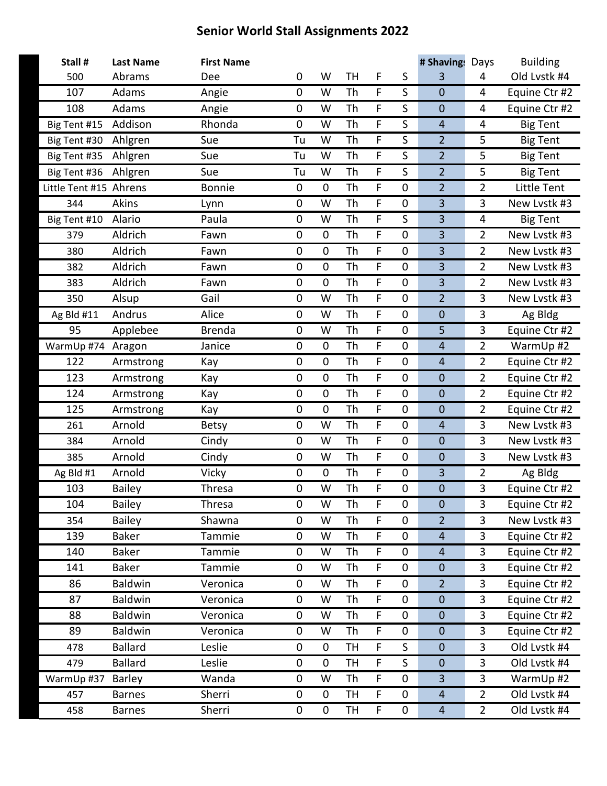| Stall #                | <b>Last Name</b> | <b>First Name</b> |             |             |           |                |                  | # Shavings              | Days           | <b>Building</b> |
|------------------------|------------------|-------------------|-------------|-------------|-----------|----------------|------------------|-------------------------|----------------|-----------------|
| 500                    | Abrams           | Dee               | $\mathbf 0$ | W           | TH        | F              | S                | 3                       | 4              | Old Lvstk #4    |
| 107                    | Adams            | Angie             | $\mathbf 0$ | W           | Th        | F              | S                | $\mathbf{0}$            | 4              | Equine Ctr #2   |
| 108                    | Adams            | Angie             | $\mathbf 0$ | W           | Th        | F              | S                | $\mathbf 0$             | 4              | Equine Ctr #2   |
| Big Tent #15           | Addison          | Rhonda            | $\mathbf 0$ | W           | <b>Th</b> | F              | S                | $\overline{4}$          | 4              | <b>Big Tent</b> |
| Big Tent #30           | Ahlgren          | Sue               | Tu          | W           | Th        | F              | S                | $\overline{2}$          | 5              | <b>Big Tent</b> |
| Big Tent #35           | Ahlgren          | Sue               | Tu          | W           | Th        | F              | S                | $\overline{2}$          | 5              | <b>Big Tent</b> |
| Big Tent #36           | Ahlgren          | Sue               | Tu          | W           | <b>Th</b> | F              | S                | $\overline{2}$          | 5              | <b>Big Tent</b> |
| Little Tent #15 Ahrens |                  | <b>Bonnie</b>     | $\pmb{0}$   | $\mathbf 0$ | Th        | F              | $\boldsymbol{0}$ | $\overline{2}$          | $\overline{2}$ | Little Tent     |
| 344                    | Akins            | Lynn              | $\mathbf 0$ | W           | Th        | F              | $\pmb{0}$        | 3                       | 3              | New Lystk #3    |
| Big Tent #10           | Alario           | Paula             | $\mathbf 0$ | W           | <b>Th</b> | F              | S                | $\overline{\mathbf{3}}$ | 4              | <b>Big Tent</b> |
| 379                    | Aldrich          | Fawn              | $\pmb{0}$   | $\mathbf 0$ | Th        | F              | $\boldsymbol{0}$ | 3                       | $\overline{2}$ | New Lystk #3    |
| 380                    | Aldrich          | Fawn              | $\pmb{0}$   | $\mathbf 0$ | Th        | F              | $\pmb{0}$        | 3                       | $\overline{2}$ | New Lystk #3    |
| 382                    | Aldrich          | Fawn              | $\mathbf 0$ | $\mathbf 0$ | Th        | F              | $\mathbf 0$      | $\overline{\mathbf{3}}$ | $\overline{2}$ | New Lystk #3    |
| 383                    | Aldrich          | Fawn              | $\pmb{0}$   | $\mathbf 0$ | Th        | F              | $\boldsymbol{0}$ | 3                       | $\overline{2}$ | New Lvstk #3    |
| 350                    | Alsup            | Gail              | $\mathbf 0$ | W           | Th        | F              | $\mathbf 0$      | $\overline{2}$          | 3              | New Lvstk #3    |
| Ag Bld #11             | Andrus           | Alice             | $\mathbf 0$ | W           | <b>Th</b> | F              | $\mathbf 0$      | $\mathbf 0$             | 3              | Ag Bldg         |
| 95                     | Applebee         | <b>Brenda</b>     | $\pmb{0}$   | W           | Th        | F              | 0                | 5                       | 3              | Equine Ctr #2   |
| WarmUp #74 Aragon      |                  | Janice            | $\pmb{0}$   | $\mathbf 0$ | Th        | F              | $\mathbf 0$      | $\overline{4}$          | $\overline{2}$ | WarmUp #2       |
| 122                    | Armstrong        | Kay               | $\mathbf 0$ | $\mathbf 0$ | <b>Th</b> | F              | $\mathbf 0$      | $\overline{4}$          | $\overline{2}$ | Equine Ctr #2   |
| 123                    | Armstrong        | Kay               | $\pmb{0}$   | $\mathbf 0$ | Th        | F              | 0                | $\mathbf 0$             | $\overline{2}$ | Equine Ctr #2   |
| 124                    | Armstrong        | Kay               | $\pmb{0}$   | $\mathbf 0$ | Th        | F              | $\mathbf 0$      | $\mathbf 0$             | $\overline{2}$ | Equine Ctr #2   |
| 125                    | Armstrong        | Kay               | $\mathbf 0$ | $\mathbf 0$ | Th        | F              | $\mathbf 0$      | $\mathbf 0$             | $\overline{2}$ | Equine Ctr #2   |
| 261                    | Arnold           | Betsy             | $\pmb{0}$   | W           | Th        | F              | 0                | $\overline{4}$          | 3              | New Lvstk #3    |
| 384                    | Arnold           | Cindy             | $\mathbf 0$ | W           | Th        | F              | $\mathbf 0$      | $\mathbf 0$             | 3              | New Lvstk #3    |
| 385                    | Arnold           | Cindy             | $\mathbf 0$ | W           | Th        | F              | $\mathbf 0$      | $\mathbf 0$             | 3              | New Lvstk #3    |
| Ag Bld #1              | Arnold           | Vicky             | $\pmb{0}$   | 0           | Th        | F              | $\mathbf 0$      | 3                       | $\overline{2}$ | Ag Bldg         |
| 103                    | <b>Bailey</b>    | Thresa            | $\mathbf 0$ | W           | Th        | F              | $\mathbf 0$      | $\mathbf 0$             | 3              | Equine Ctr #2   |
| 104                    | <b>Bailey</b>    | Thresa            | 0           | W           | Th        | F              | $\mathbf 0$      | $\mathbf{0}$            | 3              | Equine Ctr #2   |
| 354                    | <b>Bailey</b>    | Shawna            | $\pmb{0}$   | W           | Th        | F.             | 0                | $\overline{2}$          | 3              | New Lvstk #3    |
| 139                    | <b>Baker</b>     | Tammie            | $\pmb{0}$   | W           | Th        | F              | $\mathbf 0$      | $\overline{4}$          | 3              | Equine Ctr #2   |
| 140                    | <b>Baker</b>     | Tammie            | $\mathbf 0$ | W           | Th        | F              | $\mathbf 0$      | $\overline{4}$          | 3              | Equine Ctr #2   |
| 141                    | <b>Baker</b>     | Tammie            | 0           | W           | Th        | F              | 0                | $\mathbf 0$             | 3              | Equine Ctr #2   |
| 86                     | Baldwin          | Veronica          | $\pmb{0}$   | W           | Th        | F              | $\mathbf 0$      | $\overline{2}$          | 3              | Equine Ctr #2   |
| 87                     | <b>Baldwin</b>   | Veronica          | $\mathbf 0$ | W           | Th        | F              | $\mathbf 0$      | $\mathbf 0$             | 3              | Equine Ctr #2   |
| 88                     | <b>Baldwin</b>   | Veronica          | 0           | W           | Th        | F              | 0                | $\mathbf 0$             | 3              | Equine Ctr #2   |
| 89                     | Baldwin          | Veronica          | $\pmb{0}$   | W           | Th        | $\overline{F}$ | $\mathbf 0$      | $\mathbf 0$             | 3              | Equine Ctr #2   |
| 478                    | <b>Ballard</b>   | Leslie            | $\mathbf 0$ | $\mathbf 0$ | TН        | F              | S                | $\mathbf 0$             | 3              | Old Lvstk #4    |
| 479                    | <b>Ballard</b>   | Leslie            | 0           | $\mathbf 0$ | TH        | F              | S                | $\mathbf 0$             | 3              | Old Lvstk #4    |
| WarmUp #37             | Barley           | Wanda             | $\pmb{0}$   | W           | Th        | F              | $\mathbf 0$      | 3                       | 3              | WarmUp #2       |
| 457                    | <b>Barnes</b>    | Sherri            | $\pmb{0}$   | 0           | TН        | F              | 0                | $\overline{4}$          | $2^{\circ}$    | Old Lvstk #4    |
| 458                    | <b>Barnes</b>    | Sherri            | $\pmb{0}$   | 0           | TН        | F.             | 0                | $\overline{4}$          | $\overline{2}$ | Old Lvstk #4    |
|                        |                  |                   |             |             |           |                |                  |                         |                |                 |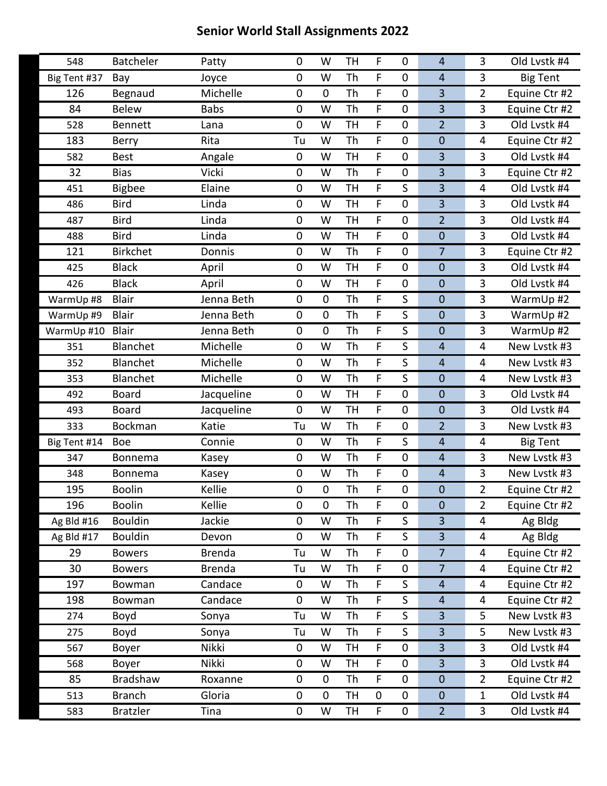| 548          | <b>Batcheler</b> | Patty         | $\mathbf 0$ | W           | <b>TH</b> | F           | 0                | $\overline{4}$          | 3                       | Old Lvstk #4    |
|--------------|------------------|---------------|-------------|-------------|-----------|-------------|------------------|-------------------------|-------------------------|-----------------|
| Big Tent #37 | Bay              | Joyce         | $\mathbf 0$ | W           | Th        | F           | $\boldsymbol{0}$ | $\overline{4}$          | 3                       | <b>Big Tent</b> |
| 126          | Begnaud          | Michelle      | $\mathbf 0$ | $\mathbf 0$ | Th        | F           | $\mathbf 0$      | 3                       | $\overline{2}$          | Equine Ctr #2   |
| 84           | <b>Belew</b>     | <b>Babs</b>   | $\mathbf 0$ | W           | Th        | F           | 0                | 3                       | 3                       | Equine Ctr #2   |
| 528          | <b>Bennett</b>   | Lana          | $\mathbf 0$ | W           | <b>TH</b> | F           | $\pmb{0}$        | $\overline{2}$          | 3                       | Old Lystk #4    |
| 183          | Berry            | Rita          | Tu          | W           | Th        | F           | $\mathbf 0$      | $\mathbf 0$             | 4                       | Equine Ctr #2   |
| 582          | <b>Best</b>      | Angale        | $\pmb{0}$   | W           | <b>TH</b> | F           | 0                | 3                       | 3                       | Old Lvstk #4    |
| 32           | <b>Bias</b>      | Vicki         | $\mathbf 0$ | W           | Th        | F           | $\boldsymbol{0}$ | 3                       | 3                       | Equine Ctr #2   |
| 451          | <b>Bigbee</b>    | Elaine        | $\mathbf 0$ | W           | <b>TH</b> | F           | S                | $\overline{\mathbf{3}}$ | 4                       | Old Lvstk #4    |
| 486          | <b>Bird</b>      | Linda         | $\pmb{0}$   | W           | <b>TH</b> | F           | 0                | 3                       | 3                       | Old Lvstk #4    |
| 487          | <b>Bird</b>      | Linda         | $\pmb{0}$   | W           | <b>TH</b> | F           | $\pmb{0}$        | $\overline{2}$          | 3                       | Old Lvstk #4    |
| 488          | <b>Bird</b>      | Linda         | $\mathbf 0$ | W           | <b>TH</b> | F           | $\mathbf 0$      | $\mathbf 0$             | 3                       | Old Lvstk #4    |
| 121          | <b>Birkchet</b>  | Donnis        | $\pmb{0}$   | W           | Th        | F           | 0                | $\overline{7}$          | 3                       | Equine Ctr #2   |
| 425          | <b>Black</b>     | April         | $\mathbf 0$ | W           | <b>TH</b> | F           | $\pmb{0}$        | $\mathbf 0$             | 3                       | Old Lvstk #4    |
| 426          | <b>Black</b>     | April         | $\mathbf 0$ | W           | <b>TH</b> | F           | $\mathbf 0$      | $\mathbf 0$             | 3                       | Old Lvstk #4    |
| WarmUp #8    | <b>Blair</b>     | Jenna Beth    | $\pmb{0}$   | $\mathbf 0$ | Th        | F           | S                | $\mathbf 0$             | 3                       | WarmUp #2       |
| WarmUp #9    | <b>Blair</b>     | Jenna Beth    | $\pmb{0}$   | $\mathbf 0$ | Th        | F           | S                | $\mathbf 0$             | 3                       | WarmUp #2       |
| WarmUp #10   | <b>Blair</b>     | Jenna Beth    | $\mathbf 0$ | $\mathbf 0$ | Th        | F           | S                | $\mathbf 0$             | 3                       | WarmUp #2       |
| 351          | Blanchet         | Michelle      | $\mathbf 0$ | W           | Th        | F           | S                | $\overline{4}$          | 4                       | New Lvstk #3    |
| 352          | Blanchet         | Michelle      | $\mathbf 0$ | W           | Th        | F           | $\mathsf S$      | $\overline{4}$          | 4                       | New Lystk #3    |
| 353          | Blanchet         | Michelle      | $\mathbf 0$ | W           | Th        | F           | S                | $\mathbf 0$             | $\overline{4}$          | New Lystk #3    |
| 492          | <b>Board</b>     | Jacqueline    | $\pmb{0}$   | W           | <b>TH</b> | F           | 0                | $\mathbf 0$             | 3                       | Old Lvstk #4    |
| 493          | <b>Board</b>     | Jacqueline    | $\mathbf 0$ | W           | <b>TH</b> | F           | $\mathbf 0$      | $\mathbf 0$             | 3                       | Old Lvstk #4    |
| 333          | <b>Bockman</b>   | Katie         | Tu          | W           | <b>Th</b> | F           | $\mathbf 0$      | $\overline{2}$          | 3                       | New Lvstk #3    |
| Big Tent #14 | <b>Boe</b>       | Connie        | $\pmb{0}$   | W           | Th        | F           | S                | $\overline{4}$          | 4                       | <b>Big Tent</b> |
| 347          | Bonnema          | Kasey         | $\pmb{0}$   | W           | Th        | F           | $\pmb{0}$        | $\overline{4}$          | 3                       | New Lvstk #3    |
| 348          | Bonnema          | Kasey         | $\mathbf 0$ | W           | <b>Th</b> | F           | $\pmb{0}$        | $\overline{4}$          | 3                       | New Lvstk #3    |
| 195          | <b>Boolin</b>    | Kellie        | $\pmb{0}$   | $\mathbf 0$ | Th        | F           | 0                | $\mathbf 0$             | $\overline{2}$          | Equine Ctr #2   |
| 196          | <b>Boolin</b>    | Kellie        | $\pmb{0}$   | $\pmb{0}$   | Th        | F           | $\pmb{0}$        | $\mathbf 0$             | $\overline{2}$          | Equine Ctr #2   |
| Ag Bld #16   | <b>Bouldin</b>   | Jackie        | $\mathbf 0$ | W           | <b>Th</b> | F           | S                | 3                       | 4                       | Ag Bldg         |
| Ag Bld #17   | <b>Bouldin</b>   | Devon         | $\pmb{0}$   | W           | Th        | F.          | S                | 3                       | 4                       | Ag Bldg         |
| 29           | <b>Bowers</b>    | <b>Brenda</b> | Tu          | W           | Th        | F.          | 0                | $\overline{7}$          | 4                       | Equine Ctr #2   |
| 30           | <b>Bowers</b>    | <b>Brenda</b> | Tu          | W           | <b>Th</b> | F           | $\mathbf 0$      | $\overline{7}$          | $\overline{\mathbf{4}}$ | Equine Ctr #2   |
| 197          | Bowman           | Candace       | $\pmb{0}$   | W           | Th        | F           | S                | $\overline{4}$          | 4                       | Equine Ctr #2   |
| 198          | Bowman           | Candace       | $\pmb{0}$   | W           | Th        | F.          | S                | $\overline{4}$          | 4                       | Equine Ctr #2   |
| 274          | Boyd             | Sonya         | Tu          | W           | <b>Th</b> | F           | S                | 3                       | 5                       | New Lvstk #3    |
| 275          | Boyd             | Sonya         | Tu          | W           | Th        | F           | S                | 3                       | 5                       | New Lvstk #3    |
| 567          | Boyer            | Nikki         | 0           | W           | <b>TH</b> | F           | $\mathbf 0$      | $\overline{3}$          | 3                       | Old Lvstk #4    |
| 568          | Boyer            | Nikki         | $\mathbf 0$ | W           | <b>TH</b> | F           | $\mathbf 0$      | $\overline{3}$          | $\overline{3}$          | Old Lvstk #4    |
| 85           | <b>Bradshaw</b>  | Roxanne       | $\pmb{0}$   | 0           | Th        | F           | $\pmb{0}$        | $\mathbf 0$             | $\overline{2}$          | Equine Ctr #2   |
| 513          | <b>Branch</b>    | Gloria        | $\pmb{0}$   | $\pmb{0}$   | <b>TH</b> | $\mathbf 0$ | $\mathbf 0$      | $\mathbf 0$             | $\mathbf{1}$            | Old Lvstk #4    |
| 583          | <b>Bratzler</b>  | Tina          | $\pmb{0}$   | W           | TH        | F           | $\mathbf 0$      | $\overline{2}$          | $\overline{3}$          | Old Lvstk #4    |
|              |                  |               |             |             |           |             |                  |                         |                         |                 |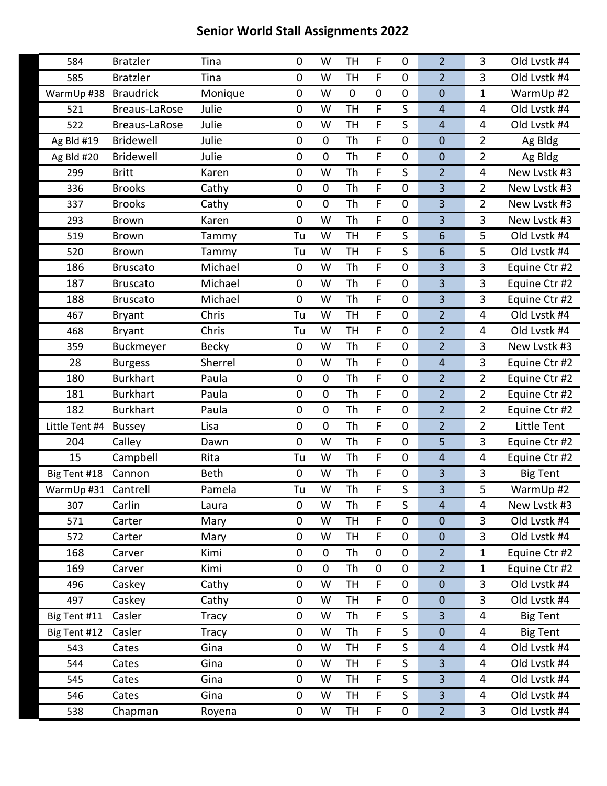| 584                 | <b>Bratzler</b>      | Tina         | 0           | W           | <b>TH</b>   | F           | $\mathbf 0$      | $\overline{2}$   | 3                       | Old Lvstk #4    |
|---------------------|----------------------|--------------|-------------|-------------|-------------|-------------|------------------|------------------|-------------------------|-----------------|
| 585                 | <b>Bratzler</b>      | Tina         | 0           | W           | <b>TH</b>   | F           | $\mathbf 0$      | $\overline{2}$   | 3                       | Old Lvstk #4    |
| WarmUp #38          | <b>Braudrick</b>     | Monique      | 0           | W           | $\mathbf 0$ | $\mathbf 0$ | $\mathbf 0$      | $\mathbf 0$      | $\mathbf{1}$            | WarmUp #2       |
| 521                 | Breaus-LaRose        | Julie        | 0           | W           | <b>TH</b>   | F           | S                | $\overline{4}$   | 4                       | Old Lvstk #4    |
| 522                 | <b>Breaus-LaRose</b> | Julie        | 0           | W           | <b>TH</b>   | F           | S                | $\overline{4}$   | 4                       | Old Lvstk #4    |
| Ag Bld #19          | Bridewell            | Julie        | 0           | $\mathbf 0$ | Th          | $\mathsf F$ | $\mathbf 0$      | $\mathbf 0$      | $\overline{2}$          | Ag Bldg         |
| Ag Bld #20          | <b>Bridewell</b>     | Julie        | 0           | $\pmb{0}$   | Th          | F           | 0                | $\boldsymbol{0}$ | $\overline{2}$          | Ag Bldg         |
| 299                 | <b>Britt</b>         | Karen        | 0           | W           | Th          | F           | S                | $\overline{2}$   | 4                       | New Lvstk #3    |
| 336                 | <b>Brooks</b>        | Cathy        | $\mathbf 0$ | $\mathbf 0$ | Th          | $\mathsf F$ | $\mathbf 0$      | 3                | $\overline{2}$          | New Lvstk #3    |
| 337                 | <b>Brooks</b>        | Cathy        | 0           | $\mathbf 0$ | Th          | F           | $\mathbf 0$      | $\overline{3}$   | $\overline{2}$          | New Lvstk #3    |
| 293                 | <b>Brown</b>         | Karen        | 0           | W           | Th          | F           | $\boldsymbol{0}$ | $\overline{3}$   | 3                       | New Lystk #3    |
| 519                 | <b>Brown</b>         | Tammy        | Tu          | W           | <b>TH</b>   | $\mathsf F$ | S                | 6                | 5                       | Old Lvstk #4    |
| 520                 | <b>Brown</b>         | Tammy        | Tu          | W           | <b>TH</b>   | F           | S                | $6\phantom{1}$   | 5                       | Old Lvstk #4    |
| 186                 | <b>Bruscato</b>      | Michael      | 0           | W           | Th          | F           | $\boldsymbol{0}$ | $\overline{3}$   | 3                       | Equine Ctr #2   |
| 187                 | <b>Bruscato</b>      | Michael      | 0           | W           | Th          | $\mathsf F$ | $\mathbf 0$      | 3                | $\overline{3}$          | Equine Ctr #2   |
| 188                 | <b>Bruscato</b>      | Michael      | 0           | W           | Th          | F           | $\mathbf 0$      | $\overline{3}$   | 3                       | Equine Ctr #2   |
| 467                 | <b>Bryant</b>        | Chris        | Tu          | W           | <b>TH</b>   | F           | $\boldsymbol{0}$ | $\overline{2}$   | 4                       | Old Lvstk #4    |
| 468                 | <b>Bryant</b>        | Chris        | Tu          | W           | <b>TH</b>   | F           | $\mathbf 0$      | $\overline{2}$   | 4                       | Old Lvstk #4    |
| 359                 | Buckmeyer            | <b>Becky</b> | 0           | W           | Th          | F           | $\mathbf 0$      | $\overline{2}$   | 3                       | New Lvstk #3    |
| 28                  | <b>Burgess</b>       | Sherrel      | $\pmb{0}$   | W           | Th          | F           | $\mathbf 0$      | $\overline{4}$   | 3                       | Equine Ctr #2   |
| 180                 | <b>Burkhart</b>      | Paula        | $\mathbf 0$ | $\mathbf 0$ | Th          | F           | $\mathbf 0$      | $\overline{2}$   | $\overline{2}$          | Equine Ctr #2   |
| 181                 | <b>Burkhart</b>      | Paula        | 0           | $\pmb{0}$   | Th          | F           | $\mathbf 0$      | $\overline{2}$   | $\overline{2}$          | Equine Ctr #2   |
| 182                 | <b>Burkhart</b>      | Paula        | $\pmb{0}$   | $\mathbf 0$ | Th          | F           | $\mathbf 0$      | $\overline{2}$   | $\overline{2}$          | Equine Ctr #2   |
| Little Tent #4      | <b>Bussey</b>        | Lisa         | 0           | $\mathbf 0$ | Th          | F           | $\mathbf 0$      | $\overline{2}$   | $\overline{2}$          | Little Tent     |
| 204                 | Calley               | Dawn         | 0           | W           | Th          | F           | $\mathbf 0$      | 5                | 3                       | Equine Ctr #2   |
| 15                  | Campbell             | Rita         | Tu          | W           | Th          | F           | $\mathbf 0$      | $\overline{4}$   | 4                       | Equine Ctr #2   |
| Big Tent #18        | Cannon               | <b>Beth</b>  | $\mathbf 0$ | W           | Th          | F.          | $\boldsymbol{0}$ | $\overline{3}$   | 3                       | <b>Big Tent</b> |
| WarmUp #31 Cantrell |                      | Pamela       | Tu          | W           | Th          | F           | S                | 3                | 5                       | WarmUp #2       |
| 307                 | Carlin               | Laura        | 0           | W           | Th          | F           | $\mathsf S$      | $\overline{4}$   | $\overline{\mathbf{4}}$ | New Lystk #3    |
| 571                 | Carter               | Mary         | 0           | W           | <b>TH</b>   | F.          | 0                | $\boldsymbol{0}$ | $\overline{3}$          | Old Lvstk #4    |
| 572                 | Carter               | Mary         | 0           | W           | <b>TH</b>   | F           | $\mathbf 0$      | $\boldsymbol{0}$ | $\overline{3}$          | Old Lvstk #4    |
| 168                 | Carver               | Kimi         | 0           | $\mathbf 0$ | Th          | $\pmb{0}$   | $\mathbf 0$      | $\overline{2}$   | $\mathbf{1}$            | Equine Ctr #2   |
| 169                 | Carver               | Kimi         | 0           | $\pmb{0}$   | Th          | $\pmb{0}$   | $\pmb{0}$        | $\overline{2}$   | $\mathbf{1}$            | Equine Ctr #2   |
| 496                 | Caskey               | Cathy        | 0           | W           | <b>TH</b>   | F           | $\boldsymbol{0}$ | $\boldsymbol{0}$ | $\overline{3}$          | Old Lvstk #4    |
| 497                 | Caskey               | Cathy        | 0           | W           | <b>TH</b>   | F           | $\pmb{0}$        | $\mathbf 0$      | $\overline{3}$          | Old Lystk #4    |
| Big Tent #11        | Casler               | Tracy        | 0           | W           | Th          | F.          | S                | $\overline{3}$   | 4                       | <b>Big Tent</b> |
| Big Tent #12        | Casler               | <b>Tracy</b> | 0           | W           | Th          | F           | $\mathsf S$      | $\boldsymbol{0}$ | 4                       | <b>Big Tent</b> |
| 543                 | Cates                | Gina         | 0           | W           | <b>TH</b>   | F           | S                | $\overline{4}$   | 4                       | Old Lvstk #4    |
| 544                 | Cates                | Gina         | 0           | W           | TH          | F           | S                | 3                | 4                       | Old Lvstk #4    |
| 545                 | Cates                | Gina         | 0           | W           | <b>TH</b>   | F           | S                | $\overline{3}$   | 4                       | Old Lvstk #4    |
| 546                 | Cates                | Gina         | 0           | W           | <b>TH</b>   | F           | S                | $\overline{3}$   | 4                       | Old Lystk #4    |
| 538                 | Chapman              | Royena       | $\pmb{0}$   | W           | TH          | $\mathsf F$ | $\pmb{0}$        | $\overline{2}$   | $\overline{3}$          | Old Lvstk #4    |
|                     |                      |              |             |             |             |             |                  |                  |                         |                 |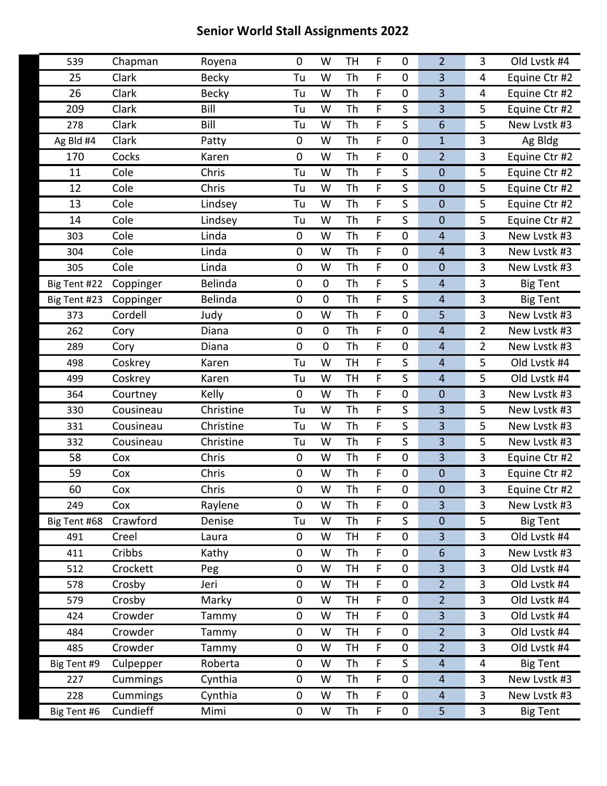| 539          | Chapman   | Royena         | $\mathbf 0$ | W           | <b>TH</b> | F  | 0           | $\overline{2}$           | 3              | Old Lvstk #4    |
|--------------|-----------|----------------|-------------|-------------|-----------|----|-------------|--------------------------|----------------|-----------------|
| 25           | Clark     | <b>Becky</b>   | Tu          | W           | Th        | F  | $\mathbf 0$ | $\overline{\mathbf{3}}$  | 4              | Equine Ctr #2   |
| 26           | Clark     | <b>Becky</b>   | Tu          | W           | Th        | F  | 0           | 3                        | 4              | Equine Ctr #2   |
| 209          | Clark     | Bill           | Tu          | W           | Th        | F  | S           | 3                        | 5              | Equine Ctr #2   |
| 278          | Clark     | Bill           | Tu          | W           | Th        | F  | S           | $6\phantom{1}6$          | 5              | New Lvstk #3    |
| Ag Bld #4    | Clark     | Patty          | $\mathbf 0$ | W           | Th        | F  | $\mathbf 0$ | $\mathbf{1}$             | 3              | Ag Bldg         |
| 170          | Cocks     | Karen          | $\mathbf 0$ | W           | Th        | F  | 0           | $\overline{2}$           | 3              | Equine Ctr #2   |
| 11           | Cole      | Chris          | Tu          | W           | Th        | F  | S           | $\mathbf 0$              | 5              | Equine Ctr #2   |
| 12           | Cole      | Chris          | Tu          | W           | Th        | F  | S           | $\mathbf 0$              | 5              | Equine Ctr #2   |
| 13           | Cole      | Lindsey        | Tu          | W           | Th        | F  | S           | $\mathbf 0$              | 5              | Equine Ctr #2   |
| 14           | Cole      | Lindsey        | Tu          | W           | Th        | F  | S           | $\mathbf 0$              | 5              | Equine Ctr #2   |
| 303          | Cole      | Linda          | $\mathbf 0$ | W           | Th        | F  | 0           | 4                        | 3              | New Lystk #3    |
| 304          | Cole      | Linda          | $\mathbf 0$ | W           | Th        | F  | 0           | $\overline{\mathcal{L}}$ | 3              | New Lystk #3    |
| 305          | Cole      | Linda          | $\mathbf 0$ | W           | Th        | F  | $\pmb{0}$   | $\mathbf 0$              | 3              | New Lvstk #3    |
| Big Tent #22 | Coppinger | Belinda        | $\mathbf 0$ | $\mathbf 0$ | Th        | F  | S           | 4                        | 3              | <b>Big Tent</b> |
| Big Tent #23 | Coppinger | <b>Belinda</b> | $\mathbf 0$ | $\mathbf 0$ | Th        | F  | S           | $\overline{\mathbf{r}}$  | 3              | <b>Big Tent</b> |
| 373          | Cordell   | Judy           | $\mathbf 0$ | W           | Th        | F  | $\pmb{0}$   | 5                        | 3              | New Lvstk #3    |
| 262          | Cory      | Diana          | $\mathbf 0$ | $\mathbf 0$ | Th        | F. | 0           | 4                        | $\overline{2}$ | New Lvstk #3    |
| 289          | Cory      | Diana          | $\mathbf 0$ | $\mathbf 0$ | Th        | F  | $\pmb{0}$   | 4                        | $\overline{2}$ | New Lystk #3    |
| 498          | Coskrey   | Karen          | Tu          | W           | <b>TH</b> | F  | S           | $\overline{4}$           | 5              | Old Lvstk #4    |
| 499          | Coskrey   | Karen          | Tu          | W           | <b>TH</b> | F  | S           | 4                        | 5              | Old Lvstk #4    |
| 364          | Courtney  | Kelly          | $\mathbf 0$ | W           | Th        | F  | $\pmb{0}$   | $\mathbf 0$              | 3              | New Lystk #3    |
| 330          | Cousineau | Christine      | Tu          | W           | Th        | F  | S           | 3                        | 5              | New Lvstk #3    |
| 331          | Cousineau | Christine      | Tu          | W           | Th        | F  | S           | 3                        | 5              | New Lystk #3    |
| 332          | Cousineau | Christine      | Tu          | W           | Th        | F  | S           | 3                        | 5              | New Lvstk #3    |
| 58           | Cox       | Chris          | $\mathbf 0$ | W           | Th        | F  | 0           | 3                        | 3              | Equine Ctr #2   |
| 59           | Cox       | Chris          | $\pmb{0}$   | W           | Th        | F  | $\pmb{0}$   | $\mathbf 0$              | 3              | Equine Ctr #2   |
| 60           | Cox       | Chris          | $\mathbf 0$ | W           | Th        | F  | $\pmb{0}$   | $\mathbf 0$              | 3              | Equine Ctr #2   |
| 249          | Cox       | Raylene        | $\pmb{0}$   | W           | Th        | F  | $\pmb{0}$   | 3                        | 3              | New Lystk #3    |
| Big Tent #68 | Crawford  | Denise         | Tu          | W           | Th        | F  | S           | $\mathbf 0$              | 5              | <b>Big Tent</b> |
| 491          | Creel     | Laura          | 0           | W           | <b>TH</b> | F  | $\pmb{0}$   | 3                        | 3              | Old Lvstk #4    |
| 411          | Cribbs    | Kathy          | $\mathbf 0$ | W           | Th        | F  | 0           | 6                        | $\overline{3}$ | New Lvstk #3    |
| 512          | Crockett  | Peg            | $\pmb{0}$   | W           | TH        | F  | $\mathbf 0$ | 3                        | 3              | Old Lvstk #4    |
| 578          | Crosby    | Jeri           | 0           | W           | TH        | F  | $\pmb{0}$   | $\overline{2}$           | 3              | Old Lvstk #4    |
| 579          | Crosby    | Marky          | $\mathbf 0$ | W           | <b>TH</b> | F  | 0           | $\overline{2}$           | $\overline{3}$ | Old Lvstk #4    |
| 424          | Crowder   | Tammy          | $\pmb{0}$   | W           | TH        | F  | $\mathbf 0$ | 3                        | 3              | Old Lvstk #4    |
| 484          | Crowder   | Tammy          | 0           | W           | TH        | F  | $\pmb{0}$   | $\overline{2}$           | 3              | Old Lvstk #4    |
| 485          | Crowder   | Tammy          | $\mathbf 0$ | W           | <b>TH</b> | F  | $\pmb{0}$   | $\overline{2}$           | 3              | Old Lvstk #4    |
| Big Tent #9  | Culpepper | Roberta        | 0           | W           | Th        | F  | S           | $\overline{4}$           | 4              | <b>Big Tent</b> |
| 227          | Cummings  | Cynthia        | 0           | W           | Th        | F  | $\pmb{0}$   | $\overline{4}$           | 3              | New Lvstk #3    |
| 228          | Cummings  | Cynthia        | $\mathbf 0$ | W           | Th        | F  | 0           | $\overline{\mathbf{r}}$  | $\overline{3}$ | New Lvstk #3    |
| Big Tent #6  | Cundieff  | Mimi           | 0           | W           | Th        | F  | $\pmb{0}$   | 5                        | $\mathbf{3}$   | <b>Big Tent</b> |
|              |           |                |             |             |           |    |             |                          |                |                 |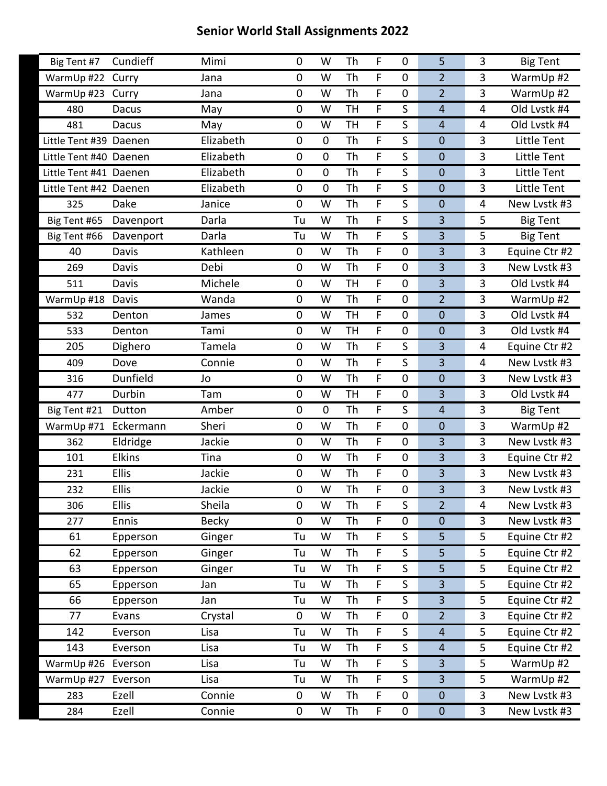| Big Tent #7            | Cundieff      | Mimi         | 0           | W           | Th        | F           | $\mathbf 0$      | 5                       | 3              | <b>Big Tent</b>    |
|------------------------|---------------|--------------|-------------|-------------|-----------|-------------|------------------|-------------------------|----------------|--------------------|
| WarmUp #22             | Curry         | Jana         | 0           | W           | Th        | F           | $\mathbf 0$      | $\overline{2}$          | $\overline{3}$ | WarmUp #2          |
| WarmUp #23             | Curry         | Jana         | 0           | W           | Th        | F           | $\mathbf 0$      | $\overline{2}$          | $\overline{3}$ | WarmUp #2          |
| 480                    | Dacus         | May          | 0           | W           | <b>TH</b> | F           | S                | $\overline{4}$          | 4              | Old Lvstk #4       |
| 481                    | <b>Dacus</b>  | May          | 0           | W           | <b>TH</b> | F           | S                | $\overline{4}$          | 4              | Old Lvstk #4       |
| Little Tent #39 Daenen |               | Elizabeth    | 0           | $\mathbf 0$ | Th        | F           | S                | $\mathbf 0$             | 3              | <b>Little Tent</b> |
| Little Tent #40 Daenen |               | Elizabeth    | 0           | $\pmb{0}$   | Th        | F           | S                | $\mathbf 0$             | 3              | Little Tent        |
| Little Tent #41 Daenen |               | Elizabeth    | 0           | $\mathbf 0$ | Th        | F           | S                | $\boldsymbol{0}$        | 3              | Little Tent        |
| Little Tent #42 Daenen |               | Elizabeth    | 0           | $\mathbf 0$ | Th        | F           | S                | $\mathbf 0$             | $\overline{3}$ | Little Tent        |
| 325                    | Dake          | Janice       | 0           | W           | Th        | F           | S                | $\mathbf 0$             | 4              | New Lvstk #3       |
| Big Tent #65           | Davenport     | Darla        | Tu          | W           | Th        | F           | S                | 3                       | 5              | <b>Big Tent</b>    |
| Big Tent #66           | Davenport     | Darla        | Tu          | W           | Th        | F           | S                | 3                       | 5              | <b>Big Tent</b>    |
| 40                     | Davis         | Kathleen     | 0           | W           | Th        | F           | 0                | 3                       | 3              | Equine Ctr #2      |
| 269                    | Davis         | Debi         | 0           | W           | Th        | F           | $\mathbf 0$      | $\overline{3}$          | 3              | New Lvstk #3       |
| 511                    | Davis         | Michele      | 0           | W           | <b>TH</b> | $\mathsf F$ | 0                | 3                       | $\overline{3}$ | Old Lvstk #4       |
| WarmUp #18             | Davis         | Wanda        | 0           | W           | Th        | F           | 0                | $\overline{2}$          | 3              | WarmUp #2          |
| 532                    | Denton        | James        | 0           | W           | <b>TH</b> | F           | $\mathbf 0$      | $\boldsymbol{0}$        | 3              | Old Lvstk #4       |
| 533                    | Denton        | Tami         | 0           | W           | <b>TH</b> | $\mathsf F$ | $\mathbf 0$      | $\mathbf 0$             | 3              | Old Lvstk #4       |
| 205                    | Dighero       | Tamela       | 0           | W           | Th        | F           | S                | $\overline{3}$          | 4              | Equine Ctr #2      |
| 409                    | Dove          | Connie       | 0           | W           | Th        | F           | S                | 3                       | 4              | New Lvstk #3       |
| 316                    | Dunfield      | Jo           | 0           | W           | Th        | $\mathsf F$ | $\mathbf 0$      | $\mathbf 0$             | $\overline{3}$ | New Lvstk #3       |
| 477                    | Durbin        | Tam          | 0           | W           | <b>TH</b> | F           | 0                | $\overline{3}$          | 3              | Old Lvstk #4       |
| Big Tent #21           | Dutton        | Amber        | 0           | $\mathbf 0$ | Th        | F           | S                | $\overline{4}$          | 3              | <b>Big Tent</b>    |
| WarmUp #71 Eckermann   |               | Sheri        | 0           | W           | Th        | $\mathsf F$ | $\mathbf 0$      | $\mathbf 0$             | 3              | WarmUp #2          |
| 362                    | Eldridge      | Jackie       | 0           | W           | Th        | F           | 0                | 3                       | 3              | New Lvstk #3       |
| 101                    | <b>Elkins</b> | Tina         | 0           | W           | Th        | F           | $\mathbf 0$      | $\overline{\mathbf{3}}$ | 3              | Equine Ctr #2      |
| 231                    | <b>Ellis</b>  | Jackie       | 0           | W           | Th        | F           | $\mathbf 0$      | 3                       | $\overline{3}$ | New Lvstk #3       |
| 232                    | <b>Ellis</b>  | Jackie       | 0           | W           | Th        | F           | 0                | 3                       | 3              | New Lvstk #3       |
| 306                    | <b>Ellis</b>  | Sheila       | 0           | W           | Th        | F           | $\mathsf S$      | $\overline{2}$          | 4              | New Lystk #3       |
| 277                    | Ennis         | <b>Becky</b> | 0           | W           | Th        | F.          | 0                | $\mathbf 0$             | $\overline{3}$ | New Lvstk #3       |
| 61                     | Epperson      | Ginger       | Tu          | W           | Th        | F           | S                | 5                       | 5              | Equine Ctr #2      |
| 62                     | Epperson      | Ginger       | Tu          | W           | Th        | F           | $\mathsf S$      | 5                       | 5              | Equine Ctr #2      |
| 63                     | Epperson      | Ginger       | Tu          | W           | Th        | F           | S                | 5                       | 5              | Equine Ctr #2      |
| 65                     | Epperson      | Jan          | Tu          | W           | Th        | F           | S                | $\overline{3}$          | 5              | Equine Ctr #2      |
| 66                     | Epperson      | Jan          | Tu          | W           | Th        | F           | $\mathsf S$      | $\overline{3}$          | 5              | Equine Ctr #2      |
| 77                     | Evans         | Crystal      | $\mathbf 0$ | W           | Th        | F           | $\boldsymbol{0}$ | $\overline{2}$          | 3              | Equine Ctr #2      |
| 142                    | Everson       | Lisa         | Tu          | W           | Th        | F           | S                | $\overline{4}$          | 5              | Equine Ctr #2      |
| 143                    | Everson       | Lisa         | Tu          | W           | Th        | F           | $\mathsf S$      | $\overline{4}$          | 5              | Equine Ctr #2      |
| WarmUp #26             | Everson       | Lisa         | Tu          | W           | Th        | F           | S                | $\overline{3}$          | 5              | WarmUp #2          |
| WarmUp #27             | Everson       | Lisa         | Tu          | W           | Th        | F           | S                | $\overline{3}$          | 5              | WarmUp #2          |
| 283                    | Ezell         | Connie       | 0           | W           | Th        | F           | $\boldsymbol{0}$ | $\pmb{0}$               | $\overline{3}$ | New Lvstk #3       |
| 284                    | Ezell         | Connie       | 0           | W           | Th        | F           | $\pmb{0}$        | $\pmb{0}$               | $\mathbf{3}$   | New Lvstk #3       |
|                        |               |              |             |             |           |             |                  |                         |                |                    |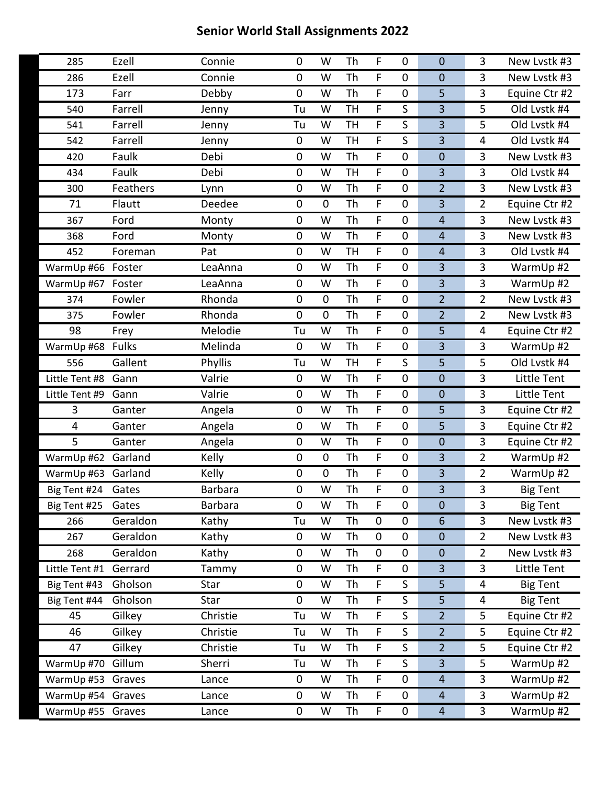| Ezell<br>Th<br>F<br>3<br>Connie<br>0<br>W<br>$\mathbf 0$<br>$\mathbf 0$<br>New Lystk #3<br>285<br>Ezell<br>Connie<br>F<br>0<br>Th<br>$\boldsymbol{0}$<br>$\mathbf 0$<br>3<br>New Lvstk #3<br>286<br>W<br>F<br>173<br>Debby<br>Th<br>5<br>3<br>Equine Ctr #2<br>Farr<br>0<br>W<br>$\mathbf 0$<br><b>TH</b><br>F<br>S<br>3<br>5<br>Old Lvstk #4<br>Farrell<br>W<br>540<br>Tu<br>Jenny<br>F<br>S<br>$\overline{\mathbf{3}}$<br>5<br>Old Lvstk #4<br>Farrell<br><b>TH</b><br>541<br>Tu<br>W<br>Jenny<br>F<br>$\mathsf S$<br>Old Lvstk #4<br>Farrell<br>W<br><b>TH</b><br>3<br>542<br>0<br>4<br>Jenny<br>F<br>$\mathbf 0$<br>3<br>Faulk<br>0<br>W<br>Th<br>0<br>New Lvstk #3<br>420<br>Debi<br>F<br>Faulk<br>Debi<br>$\overline{\mathbf{3}}$<br>3<br>Old Lvstk #4<br>434<br>0<br><b>TH</b><br>$\boldsymbol{0}$<br>W<br>Th<br>F<br>W<br>$\mathbf 0$<br>$\overline{2}$<br>$\overline{3}$<br>New Lystk #3<br>300<br>Feathers<br>0<br>Lynn<br>3<br>Flautt<br>$\pmb{0}$<br>Th<br>F<br>$\boldsymbol{0}$<br>$\overline{2}$<br>Equine Ctr #2<br>71<br>Deedee<br>0<br>Th<br>F<br>Ford<br>3<br>New Lvstk #3<br>367<br>0<br>W<br>Monty<br>$\pmb{0}$<br>$\overline{4}$<br>F<br>Th<br>$\mathbf 0$<br>3<br>368<br>Ford<br>0<br>W<br>$\overline{4}$<br>New Lvstk #3<br>Monty<br><b>TH</b><br>F<br>$\boldsymbol{0}$<br>$\overline{4}$<br>3<br>Old Lvstk #4<br>452<br>Foreman<br>0<br>W<br>Pat<br>F<br>3<br>Th<br>$\overline{\mathbf{3}}$<br>LeaAnna<br>0<br>W<br>$\mathbf 0$<br>WarmUp #2<br>WarmUp #66 Foster<br>F<br>Th<br>$\mathbf 0$<br>3<br>$\overline{3}$<br>WarmUp #2<br>0<br>W<br>WarmUp #67<br>Foster<br>LeaAnna<br>$\overline{2}$<br>$\mathbf 0$<br>Th<br>F<br>$\overline{2}$<br>New Lystk #3<br>374<br>Fowler<br>Rhonda<br>0<br>$\mathbf 0$<br>F<br>Rhonda<br>$\pmb{0}$<br>$\mathbf 0$<br>Th<br>$\overline{2}$<br>$\overline{2}$<br>Fowler<br>$\mathbf 0$<br>New Lvstk #3<br>375<br>F<br>98<br>Th<br>5<br>Melodie<br>Tu<br>W<br>$\mathbf 0$<br>4<br>Equine Ctr #2<br>Frey<br>3<br><b>Fulks</b><br>Melinda<br>Th<br>F<br>3<br>WarmUp #2<br>WarmUp #68<br>0<br>W<br>$\mathbf 0$<br>F<br>Phyllis<br><b>TH</b><br>S<br>Old Lvstk #4<br>Gallent<br>5<br>5<br>556<br>Tu<br>W<br>F<br>Th<br>$\overline{3}$<br><b>Little Tent</b><br>Valrie<br>$\mathbf 0$<br>W<br>$\mathbf 0$<br>$\mathbf 0$<br>Little Tent #8<br>Gann<br>$\mathbf 0$<br>Little Tent<br>Valrie<br>Th<br>F<br>3<br>0<br>W<br>$\mathbf 0$<br>Little Tent #9<br>Gann<br>Th<br>F<br>3<br>3<br>0<br>$\mathbf 0$<br>5<br>Equine Ctr #2<br>Ganter<br>Angela<br>W<br>F.<br>4<br>0<br>W<br>Th<br>$\mathbf 0$<br>5<br>3<br>Equine Ctr #2<br>Ganter<br>Angela<br>5<br>Th<br>$\mathbf 0$<br>Angela<br>W<br>F<br>3<br>Ganter<br>0<br>$\mathbf 0$<br>Equine Ctr #2 |
|-----------------------------------------------------------------------------------------------------------------------------------------------------------------------------------------------------------------------------------------------------------------------------------------------------------------------------------------------------------------------------------------------------------------------------------------------------------------------------------------------------------------------------------------------------------------------------------------------------------------------------------------------------------------------------------------------------------------------------------------------------------------------------------------------------------------------------------------------------------------------------------------------------------------------------------------------------------------------------------------------------------------------------------------------------------------------------------------------------------------------------------------------------------------------------------------------------------------------------------------------------------------------------------------------------------------------------------------------------------------------------------------------------------------------------------------------------------------------------------------------------------------------------------------------------------------------------------------------------------------------------------------------------------------------------------------------------------------------------------------------------------------------------------------------------------------------------------------------------------------------------------------------------------------------------------------------------------------------------------------------------------------------------------------------------------------------------------------------------------------------------------------------------------------------------------------------------------------------------------------------------------------------------------------------------------------------------------------------------------------------------------------------------------------------------------------------------------------------------------------------------------------------------------------------------------------------------------------------------------------------------------------------------------------------------------------------------|
|                                                                                                                                                                                                                                                                                                                                                                                                                                                                                                                                                                                                                                                                                                                                                                                                                                                                                                                                                                                                                                                                                                                                                                                                                                                                                                                                                                                                                                                                                                                                                                                                                                                                                                                                                                                                                                                                                                                                                                                                                                                                                                                                                                                                                                                                                                                                                                                                                                                                                                                                                                                                                                                                                                     |
|                                                                                                                                                                                                                                                                                                                                                                                                                                                                                                                                                                                                                                                                                                                                                                                                                                                                                                                                                                                                                                                                                                                                                                                                                                                                                                                                                                                                                                                                                                                                                                                                                                                                                                                                                                                                                                                                                                                                                                                                                                                                                                                                                                                                                                                                                                                                                                                                                                                                                                                                                                                                                                                                                                     |
|                                                                                                                                                                                                                                                                                                                                                                                                                                                                                                                                                                                                                                                                                                                                                                                                                                                                                                                                                                                                                                                                                                                                                                                                                                                                                                                                                                                                                                                                                                                                                                                                                                                                                                                                                                                                                                                                                                                                                                                                                                                                                                                                                                                                                                                                                                                                                                                                                                                                                                                                                                                                                                                                                                     |
|                                                                                                                                                                                                                                                                                                                                                                                                                                                                                                                                                                                                                                                                                                                                                                                                                                                                                                                                                                                                                                                                                                                                                                                                                                                                                                                                                                                                                                                                                                                                                                                                                                                                                                                                                                                                                                                                                                                                                                                                                                                                                                                                                                                                                                                                                                                                                                                                                                                                                                                                                                                                                                                                                                     |
|                                                                                                                                                                                                                                                                                                                                                                                                                                                                                                                                                                                                                                                                                                                                                                                                                                                                                                                                                                                                                                                                                                                                                                                                                                                                                                                                                                                                                                                                                                                                                                                                                                                                                                                                                                                                                                                                                                                                                                                                                                                                                                                                                                                                                                                                                                                                                                                                                                                                                                                                                                                                                                                                                                     |
|                                                                                                                                                                                                                                                                                                                                                                                                                                                                                                                                                                                                                                                                                                                                                                                                                                                                                                                                                                                                                                                                                                                                                                                                                                                                                                                                                                                                                                                                                                                                                                                                                                                                                                                                                                                                                                                                                                                                                                                                                                                                                                                                                                                                                                                                                                                                                                                                                                                                                                                                                                                                                                                                                                     |
|                                                                                                                                                                                                                                                                                                                                                                                                                                                                                                                                                                                                                                                                                                                                                                                                                                                                                                                                                                                                                                                                                                                                                                                                                                                                                                                                                                                                                                                                                                                                                                                                                                                                                                                                                                                                                                                                                                                                                                                                                                                                                                                                                                                                                                                                                                                                                                                                                                                                                                                                                                                                                                                                                                     |
|                                                                                                                                                                                                                                                                                                                                                                                                                                                                                                                                                                                                                                                                                                                                                                                                                                                                                                                                                                                                                                                                                                                                                                                                                                                                                                                                                                                                                                                                                                                                                                                                                                                                                                                                                                                                                                                                                                                                                                                                                                                                                                                                                                                                                                                                                                                                                                                                                                                                                                                                                                                                                                                                                                     |
|                                                                                                                                                                                                                                                                                                                                                                                                                                                                                                                                                                                                                                                                                                                                                                                                                                                                                                                                                                                                                                                                                                                                                                                                                                                                                                                                                                                                                                                                                                                                                                                                                                                                                                                                                                                                                                                                                                                                                                                                                                                                                                                                                                                                                                                                                                                                                                                                                                                                                                                                                                                                                                                                                                     |
|                                                                                                                                                                                                                                                                                                                                                                                                                                                                                                                                                                                                                                                                                                                                                                                                                                                                                                                                                                                                                                                                                                                                                                                                                                                                                                                                                                                                                                                                                                                                                                                                                                                                                                                                                                                                                                                                                                                                                                                                                                                                                                                                                                                                                                                                                                                                                                                                                                                                                                                                                                                                                                                                                                     |
|                                                                                                                                                                                                                                                                                                                                                                                                                                                                                                                                                                                                                                                                                                                                                                                                                                                                                                                                                                                                                                                                                                                                                                                                                                                                                                                                                                                                                                                                                                                                                                                                                                                                                                                                                                                                                                                                                                                                                                                                                                                                                                                                                                                                                                                                                                                                                                                                                                                                                                                                                                                                                                                                                                     |
|                                                                                                                                                                                                                                                                                                                                                                                                                                                                                                                                                                                                                                                                                                                                                                                                                                                                                                                                                                                                                                                                                                                                                                                                                                                                                                                                                                                                                                                                                                                                                                                                                                                                                                                                                                                                                                                                                                                                                                                                                                                                                                                                                                                                                                                                                                                                                                                                                                                                                                                                                                                                                                                                                                     |
|                                                                                                                                                                                                                                                                                                                                                                                                                                                                                                                                                                                                                                                                                                                                                                                                                                                                                                                                                                                                                                                                                                                                                                                                                                                                                                                                                                                                                                                                                                                                                                                                                                                                                                                                                                                                                                                                                                                                                                                                                                                                                                                                                                                                                                                                                                                                                                                                                                                                                                                                                                                                                                                                                                     |
|                                                                                                                                                                                                                                                                                                                                                                                                                                                                                                                                                                                                                                                                                                                                                                                                                                                                                                                                                                                                                                                                                                                                                                                                                                                                                                                                                                                                                                                                                                                                                                                                                                                                                                                                                                                                                                                                                                                                                                                                                                                                                                                                                                                                                                                                                                                                                                                                                                                                                                                                                                                                                                                                                                     |
|                                                                                                                                                                                                                                                                                                                                                                                                                                                                                                                                                                                                                                                                                                                                                                                                                                                                                                                                                                                                                                                                                                                                                                                                                                                                                                                                                                                                                                                                                                                                                                                                                                                                                                                                                                                                                                                                                                                                                                                                                                                                                                                                                                                                                                                                                                                                                                                                                                                                                                                                                                                                                                                                                                     |
|                                                                                                                                                                                                                                                                                                                                                                                                                                                                                                                                                                                                                                                                                                                                                                                                                                                                                                                                                                                                                                                                                                                                                                                                                                                                                                                                                                                                                                                                                                                                                                                                                                                                                                                                                                                                                                                                                                                                                                                                                                                                                                                                                                                                                                                                                                                                                                                                                                                                                                                                                                                                                                                                                                     |
|                                                                                                                                                                                                                                                                                                                                                                                                                                                                                                                                                                                                                                                                                                                                                                                                                                                                                                                                                                                                                                                                                                                                                                                                                                                                                                                                                                                                                                                                                                                                                                                                                                                                                                                                                                                                                                                                                                                                                                                                                                                                                                                                                                                                                                                                                                                                                                                                                                                                                                                                                                                                                                                                                                     |
|                                                                                                                                                                                                                                                                                                                                                                                                                                                                                                                                                                                                                                                                                                                                                                                                                                                                                                                                                                                                                                                                                                                                                                                                                                                                                                                                                                                                                                                                                                                                                                                                                                                                                                                                                                                                                                                                                                                                                                                                                                                                                                                                                                                                                                                                                                                                                                                                                                                                                                                                                                                                                                                                                                     |
|                                                                                                                                                                                                                                                                                                                                                                                                                                                                                                                                                                                                                                                                                                                                                                                                                                                                                                                                                                                                                                                                                                                                                                                                                                                                                                                                                                                                                                                                                                                                                                                                                                                                                                                                                                                                                                                                                                                                                                                                                                                                                                                                                                                                                                                                                                                                                                                                                                                                                                                                                                                                                                                                                                     |
|                                                                                                                                                                                                                                                                                                                                                                                                                                                                                                                                                                                                                                                                                                                                                                                                                                                                                                                                                                                                                                                                                                                                                                                                                                                                                                                                                                                                                                                                                                                                                                                                                                                                                                                                                                                                                                                                                                                                                                                                                                                                                                                                                                                                                                                                                                                                                                                                                                                                                                                                                                                                                                                                                                     |
|                                                                                                                                                                                                                                                                                                                                                                                                                                                                                                                                                                                                                                                                                                                                                                                                                                                                                                                                                                                                                                                                                                                                                                                                                                                                                                                                                                                                                                                                                                                                                                                                                                                                                                                                                                                                                                                                                                                                                                                                                                                                                                                                                                                                                                                                                                                                                                                                                                                                                                                                                                                                                                                                                                     |
|                                                                                                                                                                                                                                                                                                                                                                                                                                                                                                                                                                                                                                                                                                                                                                                                                                                                                                                                                                                                                                                                                                                                                                                                                                                                                                                                                                                                                                                                                                                                                                                                                                                                                                                                                                                                                                                                                                                                                                                                                                                                                                                                                                                                                                                                                                                                                                                                                                                                                                                                                                                                                                                                                                     |
|                                                                                                                                                                                                                                                                                                                                                                                                                                                                                                                                                                                                                                                                                                                                                                                                                                                                                                                                                                                                                                                                                                                                                                                                                                                                                                                                                                                                                                                                                                                                                                                                                                                                                                                                                                                                                                                                                                                                                                                                                                                                                                                                                                                                                                                                                                                                                                                                                                                                                                                                                                                                                                                                                                     |
|                                                                                                                                                                                                                                                                                                                                                                                                                                                                                                                                                                                                                                                                                                                                                                                                                                                                                                                                                                                                                                                                                                                                                                                                                                                                                                                                                                                                                                                                                                                                                                                                                                                                                                                                                                                                                                                                                                                                                                                                                                                                                                                                                                                                                                                                                                                                                                                                                                                                                                                                                                                                                                                                                                     |
|                                                                                                                                                                                                                                                                                                                                                                                                                                                                                                                                                                                                                                                                                                                                                                                                                                                                                                                                                                                                                                                                                                                                                                                                                                                                                                                                                                                                                                                                                                                                                                                                                                                                                                                                                                                                                                                                                                                                                                                                                                                                                                                                                                                                                                                                                                                                                                                                                                                                                                                                                                                                                                                                                                     |
| Th<br>F<br>3<br>$\pmb{0}$<br>$\mathbf 0$<br>$\mathbf 0$<br>$\overline{2}$<br>Garland<br>Kelly<br>WarmUp #2<br>WarmUp #62                                                                                                                                                                                                                                                                                                                                                                                                                                                                                                                                                                                                                                                                                                                                                                                                                                                                                                                                                                                                                                                                                                                                                                                                                                                                                                                                                                                                                                                                                                                                                                                                                                                                                                                                                                                                                                                                                                                                                                                                                                                                                                                                                                                                                                                                                                                                                                                                                                                                                                                                                                            |
| F<br>0<br>$\mathbf 0$<br>Th<br>$\pmb{0}$<br>3<br>$\overline{2}$<br>WarmUp #2<br>WarmUp #63<br>Garland<br>Kelly                                                                                                                                                                                                                                                                                                                                                                                                                                                                                                                                                                                                                                                                                                                                                                                                                                                                                                                                                                                                                                                                                                                                                                                                                                                                                                                                                                                                                                                                                                                                                                                                                                                                                                                                                                                                                                                                                                                                                                                                                                                                                                                                                                                                                                                                                                                                                                                                                                                                                                                                                                                      |
| $\overline{3}$<br>Th<br>3<br><b>Barbara</b><br>W<br>F<br><b>Big Tent</b><br>Gates<br>0<br>$\mathbf 0$<br>Big Tent #24                                                                                                                                                                                                                                                                                                                                                                                                                                                                                                                                                                                                                                                                                                                                                                                                                                                                                                                                                                                                                                                                                                                                                                                                                                                                                                                                                                                                                                                                                                                                                                                                                                                                                                                                                                                                                                                                                                                                                                                                                                                                                                                                                                                                                                                                                                                                                                                                                                                                                                                                                                               |
| F<br>3<br><b>Barbara</b><br>0<br>Th<br>$\mathbf 0$<br>$\mathbf 0$<br>Gates<br>W<br><b>Big Tent</b><br>Big Tent #25                                                                                                                                                                                                                                                                                                                                                                                                                                                                                                                                                                                                                                                                                                                                                                                                                                                                                                                                                                                                                                                                                                                                                                                                                                                                                                                                                                                                                                                                                                                                                                                                                                                                                                                                                                                                                                                                                                                                                                                                                                                                                                                                                                                                                                                                                                                                                                                                                                                                                                                                                                                  |
| Geraldon<br>Kathy<br>W<br>Th<br>$\mathbf 0$<br>$\pmb{0}$<br>3<br>New Lvstk #3<br>6<br>266<br>Tu                                                                                                                                                                                                                                                                                                                                                                                                                                                                                                                                                                                                                                                                                                                                                                                                                                                                                                                                                                                                                                                                                                                                                                                                                                                                                                                                                                                                                                                                                                                                                                                                                                                                                                                                                                                                                                                                                                                                                                                                                                                                                                                                                                                                                                                                                                                                                                                                                                                                                                                                                                                                     |
| Geraldon<br>Kathy<br>W<br>Th<br>$\pmb{0}$<br>New Lvstk #3<br>267<br>$\mathbf 0$<br>$\mathbf 0$<br>$\overline{2}$<br>0                                                                                                                                                                                                                                                                                                                                                                                                                                                                                                                                                                                                                                                                                                                                                                                                                                                                                                                                                                                                                                                                                                                                                                                                                                                                                                                                                                                                                                                                                                                                                                                                                                                                                                                                                                                                                                                                                                                                                                                                                                                                                                                                                                                                                                                                                                                                                                                                                                                                                                                                                                               |
| Geraldon<br>Th<br>$\pmb{0}$<br>$\overline{2}$<br>0<br>W<br>$\boldsymbol{0}$<br>$\mathbf 0$<br>New Lvstk #3<br>268<br>Kathy                                                                                                                                                                                                                                                                                                                                                                                                                                                                                                                                                                                                                                                                                                                                                                                                                                                                                                                                                                                                                                                                                                                                                                                                                                                                                                                                                                                                                                                                                                                                                                                                                                                                                                                                                                                                                                                                                                                                                                                                                                                                                                                                                                                                                                                                                                                                                                                                                                                                                                                                                                          |
|                                                                                                                                                                                                                                                                                                                                                                                                                                                                                                                                                                                                                                                                                                                                                                                                                                                                                                                                                                                                                                                                                                                                                                                                                                                                                                                                                                                                                                                                                                                                                                                                                                                                                                                                                                                                                                                                                                                                                                                                                                                                                                                                                                                                                                                                                                                                                                                                                                                                                                                                                                                                                                                                                                     |
|                                                                                                                                                                                                                                                                                                                                                                                                                                                                                                                                                                                                                                                                                                                                                                                                                                                                                                                                                                                                                                                                                                                                                                                                                                                                                                                                                                                                                                                                                                                                                                                                                                                                                                                                                                                                                                                                                                                                                                                                                                                                                                                                                                                                                                                                                                                                                                                                                                                                                                                                                                                                                                                                                                     |
| F<br>Gerrard<br>$\pmb{0}$<br>3<br>3<br>Little Tent<br>Little Tent #1<br>Tammy<br>0<br>W<br>Th                                                                                                                                                                                                                                                                                                                                                                                                                                                                                                                                                                                                                                                                                                                                                                                                                                                                                                                                                                                                                                                                                                                                                                                                                                                                                                                                                                                                                                                                                                                                                                                                                                                                                                                                                                                                                                                                                                                                                                                                                                                                                                                                                                                                                                                                                                                                                                                                                                                                                                                                                                                                       |
| F<br>Gholson<br>0<br>W<br>Th<br>S<br>5<br><b>Big Tent</b><br>Big Tent #43<br>4<br>Star                                                                                                                                                                                                                                                                                                                                                                                                                                                                                                                                                                                                                                                                                                                                                                                                                                                                                                                                                                                                                                                                                                                                                                                                                                                                                                                                                                                                                                                                                                                                                                                                                                                                                                                                                                                                                                                                                                                                                                                                                                                                                                                                                                                                                                                                                                                                                                                                                                                                                                                                                                                                              |
| Th<br>F<br>S<br>5<br>Gholson<br>0<br>W<br>4<br><b>Big Tent</b><br>Big Tent #44<br>Star                                                                                                                                                                                                                                                                                                                                                                                                                                                                                                                                                                                                                                                                                                                                                                                                                                                                                                                                                                                                                                                                                                                                                                                                                                                                                                                                                                                                                                                                                                                                                                                                                                                                                                                                                                                                                                                                                                                                                                                                                                                                                                                                                                                                                                                                                                                                                                                                                                                                                                                                                                                                              |
| F<br>S<br>Equine Ctr #2<br>Gilkey<br>Christie<br>$\overline{2}$<br>5<br>45<br>W<br>Th<br>Tu                                                                                                                                                                                                                                                                                                                                                                                                                                                                                                                                                                                                                                                                                                                                                                                                                                                                                                                                                                                                                                                                                                                                                                                                                                                                                                                                                                                                                                                                                                                                                                                                                                                                                                                                                                                                                                                                                                                                                                                                                                                                                                                                                                                                                                                                                                                                                                                                                                                                                                                                                                                                         |
| F<br>Gilkey<br>S<br>5<br>46<br>Christie<br>W<br>Th<br>$\overline{2}$<br>Equine Ctr #2<br>Tu                                                                                                                                                                                                                                                                                                                                                                                                                                                                                                                                                                                                                                                                                                                                                                                                                                                                                                                                                                                                                                                                                                                                                                                                                                                                                                                                                                                                                                                                                                                                                                                                                                                                                                                                                                                                                                                                                                                                                                                                                                                                                                                                                                                                                                                                                                                                                                                                                                                                                                                                                                                                         |
| F<br>$\overline{2}$<br>5<br>47<br>Christie<br>W<br>Th<br>S<br>Equine Ctr #2<br>Gilkey<br>Tu                                                                                                                                                                                                                                                                                                                                                                                                                                                                                                                                                                                                                                                                                                                                                                                                                                                                                                                                                                                                                                                                                                                                                                                                                                                                                                                                                                                                                                                                                                                                                                                                                                                                                                                                                                                                                                                                                                                                                                                                                                                                                                                                                                                                                                                                                                                                                                                                                                                                                                                                                                                                         |
| F<br>S<br>3<br>Gillum<br>Sherri<br>Th<br>5<br>WarmUp #2<br>WarmUp #70<br>W<br>Tu                                                                                                                                                                                                                                                                                                                                                                                                                                                                                                                                                                                                                                                                                                                                                                                                                                                                                                                                                                                                                                                                                                                                                                                                                                                                                                                                                                                                                                                                                                                                                                                                                                                                                                                                                                                                                                                                                                                                                                                                                                                                                                                                                                                                                                                                                                                                                                                                                                                                                                                                                                                                                    |
| F<br>Th<br>$\boldsymbol{0}$<br>3<br>WarmUp #2<br>WarmUp #53<br>0<br>W<br>$\overline{4}$<br>Graves<br>Lance                                                                                                                                                                                                                                                                                                                                                                                                                                                                                                                                                                                                                                                                                                                                                                                                                                                                                                                                                                                                                                                                                                                                                                                                                                                                                                                                                                                                                                                                                                                                                                                                                                                                                                                                                                                                                                                                                                                                                                                                                                                                                                                                                                                                                                                                                                                                                                                                                                                                                                                                                                                          |
| Th<br>F<br>W<br>3<br>WarmUp #2<br>WarmUp #54 Graves<br>0<br>$\mathbf 0$<br>$\overline{4}$<br>Lance<br>$\overline{3}$<br>F<br>WarmUp #2<br>WarmUp #55 Graves<br>0<br>Th<br>0<br>$\overline{4}$<br>Lance<br>W                                                                                                                                                                                                                                                                                                                                                                                                                                                                                                                                                                                                                                                                                                                                                                                                                                                                                                                                                                                                                                                                                                                                                                                                                                                                                                                                                                                                                                                                                                                                                                                                                                                                                                                                                                                                                                                                                                                                                                                                                                                                                                                                                                                                                                                                                                                                                                                                                                                                                         |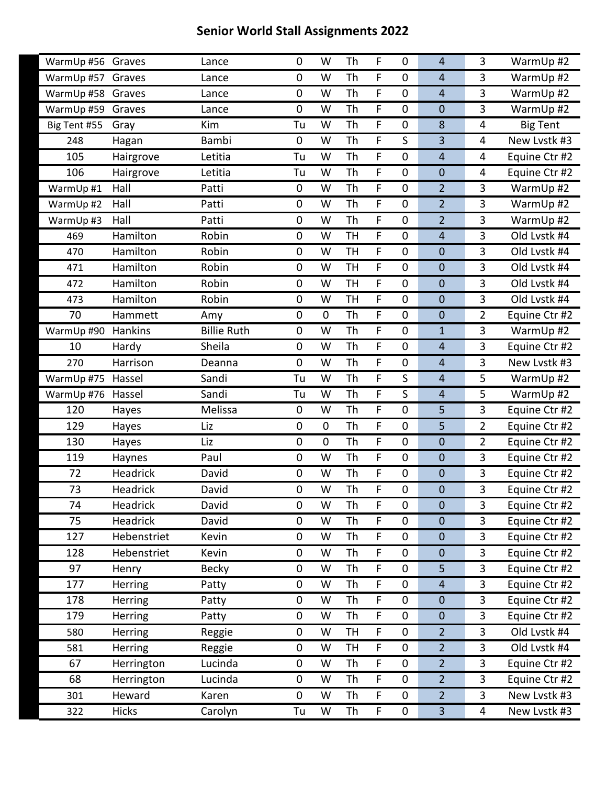| WarmUp #56        | Graves            | Lance              | 0  | W           | Th        | F      | $\mathbf 0$      | $\overline{4}$      | 3              | WarmUp #2                  |
|-------------------|-------------------|--------------------|----|-------------|-----------|--------|------------------|---------------------|----------------|----------------------------|
| WarmUp #57        | Graves            | Lance              | 0  | W           | Th        | F      | $\boldsymbol{0}$ | $\overline{4}$      | 3              | WarmUp #2                  |
| WarmUp #58        | Graves            | Lance              | 0  | W           | Th        | F      | $\mathbf 0$      | $\overline{4}$      | 3              | WarmUp #2                  |
| WarmUp #59        | Graves            | Lance              | 0  | W           | Th        | F      | $\boldsymbol{0}$ | $\mathbf 0$         | 3              | WarmUp #2                  |
| Big Tent #55      | Gray              | Kim                | Tu | W           | Th        | F      | $\boldsymbol{0}$ | 8                   | 4              | Big Tent                   |
| 248               | Hagan             | <b>Bambi</b>       | 0  | W           | Th        | F      | S                | 3                   | 4              | New Lvstk #3               |
| 105               | Hairgrove         | Letitia            | Tu | W           | Th        | F      | $\boldsymbol{0}$ | $\overline{4}$      | 4              | Equine Ctr #2              |
| 106               | Hairgrove         | Letitia            | Tu | W           | Th        | F      | $\mathbf 0$      | $\mathbf 0$         | 4              | Equine Ctr #2              |
| WarmUp #1         | Hall              | Patti              | 0  | W           | Th        | F      | $\mathbf 0$      | $\overline{2}$      | 3              | WarmUp #2                  |
| WarmUp #2         | Hall              | Patti              | 0  | W           | Th        | F      | $\boldsymbol{0}$ | $\overline{2}$      | 3              | WarmUp #2                  |
| WarmUp #3         | Hall              | Patti              | 0  | W           | Th        | F      | $\boldsymbol{0}$ | $\overline{2}$      | 3              | WarmUp #2                  |
| 469               | Hamilton          | Robin              | 0  | W           | <b>TH</b> | F      | $\mathbf 0$      | $\overline{4}$      | 3              | Old Lvstk #4               |
| 470               | Hamilton          | Robin              | 0  | W           | <b>TH</b> | F      | 0                | $\mathbf 0$         | 3              | Old Lvstk #4               |
| 471               | Hamilton          | Robin              | 0  | W           | <b>TH</b> | F      | $\mathbf 0$      | $\mathbf 0$         | 3              | Old Lvstk #4               |
| 472               | Hamilton          | Robin              | 0  | W           | <b>TH</b> | F      | $\mathbf 0$      | $\mathbf 0$         | 3              | Old Lvstk #4               |
| 473               | Hamilton          | Robin              | 0  | W           | <b>TH</b> | F      | 0                | $\mathbf 0$         | 3              | Old Lvstk #4               |
| 70                | Hammett           | Amy                | 0  | $\mathbf 0$ | Th        | F      | $\mathbf 0$      | $\mathbf 0$         | 2              | Equine Ctr #2              |
| WarmUp #90        | Hankins           | <b>Billie Ruth</b> | 0  | W           | Th        | F      | $\mathbf 0$      | $\mathbf{1}$        | $\overline{3}$ | WarmUp #2                  |
| 10                |                   | Sheila             | 0  | W           | Th        | F      | $\mathbf 0$      | $\overline{4}$      | 3              | Equine Ctr #2              |
| 270               | Hardy<br>Harrison | Deanna             | 0  | W           | Th        | F      | $\pmb{0}$        | $\overline{4}$      | 3              | New Lvstk #3               |
|                   | Hassel            | Sandi              | Tu | W           | Th        | F      | S                | $\overline{4}$      | 5              |                            |
| WarmUp #75        |                   |                    |    |             |           |        |                  |                     |                | WarmUp #2                  |
| WarmUp #76<br>120 | Hassel            | Sandi<br>Melissa   | Tu | W<br>W      | Th<br>Th  | F<br>F | S<br>$\mathbf 0$ | $\overline{4}$<br>5 | 5<br>3         | WarmUp #2<br>Equine Ctr #2 |
|                   | Hayes             |                    | 0  |             |           |        |                  |                     |                |                            |
| 129               | Hayes             | Liz                | 0  | $\mathbf 0$ | Th        | F      | $\mathbf 0$      | 5                   | $\overline{2}$ | Equine Ctr #2              |
| 130               | Hayes             | Liz                | 0  | $\mathbf 0$ | Th        | F      | $\mathbf 0$      | $\mathbf 0$         | 2              | Equine Ctr #2              |
| 119               | Haynes            | Paul               | 0  | W           | Th        | F      | $\mathbf 0$      | $\mathbf 0$         | 3              | Equine Ctr #2              |
| 72                | Headrick          | David              | 0  | W           | Th        | F      | $\mathbf 0$      | $\mathbf 0$         | 3              | Equine Ctr #2              |
| 73                | Headrick          | David              | 0  | W           | Th        | F      | 0                | $\mathbf 0$         | 3              | Equine Ctr #2              |
| 74                | Headrick          | David              | 0  | W           | Th        | F      | $\mathbf 0$      | $\mathbf 0$         | 3              | Equine Ctr #2              |
| 75                | Headrick          | David              | 0  | W           | Th        | F      | $\mathbf 0$      | $\mathbf 0$         | 3              | Equine Ctr #2              |
| 127               | Hebenstriet       | Kevin              | 0  | W           | Th        | F      | $\mathbf 0$      | $\mathbf 0$         | 3              | Equine Ctr #2              |
| 128               | Hebenstriet       | Kevin              | 0  | W           | Th        | F      | $\mathbf 0$      | $\mathbf 0$         | 3              | Equine Ctr #2              |
| 97                | Henry             | <b>Becky</b>       | 0  | W           | Th        | F      | $\mathbf 0$      | 5                   | 3              | Equine Ctr #2              |
| 177               | Herring           | Patty              | 0  | W           | Th        | F      | $\pmb{0}$        | $\overline{4}$      | 3              | Equine Ctr #2              |
| 178               | Herring           | Patty              | 0  | W           | Th        | F      | $\mathbf 0$      | $\mathbf 0$         | 3              | Equine Ctr #2              |
| 179               | Herring           | Patty              | 0  | W           | Th        | F      | $\mathbf 0$      | $\mathbf 0$         | 3              | Equine Ctr #2              |
| 580               | Herring           | Reggie             | 0  | W           | <b>TH</b> | F      | 0                | $\overline{2}$      | 3              | Old Lvstk #4               |
| 581               | Herring           | Reggie             | 0  | W           | <b>TH</b> | F      | $\pmb{0}$        | $\overline{2}$      | $\overline{3}$ | Old Lvstk #4               |
| 67                | Herrington        | Lucinda            | 0  | W           | Th        | F      | $\mathbf 0$      | $\overline{2}$      | $\overline{3}$ | Equine Ctr #2              |
| 68                | Herrington        | Lucinda            | 0  | W           | Th        | F      | $\pmb{0}$        | $\overline{2}$      | 3              | Equine Ctr #2              |
| 301               | Heward            | Karen              | 0  | W           | Th        | F      | $\pmb{0}$        | $\overline{2}$      | $\overline{3}$ | New Lvstk #3               |
| 322               | <b>Hicks</b>      | Carolyn            | Tu | W           | Th        | F.     | 0                | $\overline{3}$      | 4              | New Lvstk #3               |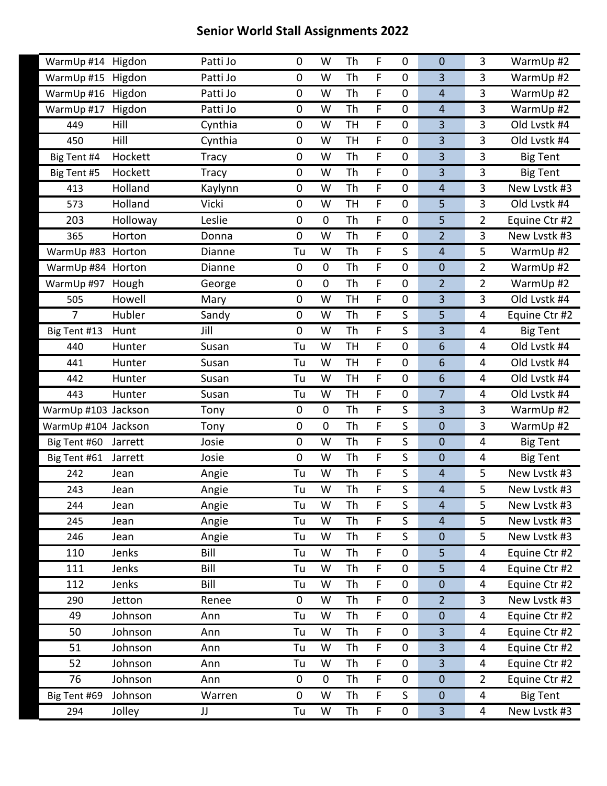| WarmUp #14 Higdon   |          | Patti Jo     | 0              | W           | Th        | F           | $\mathbf 0$      | $\mathbf 0$             | 3              | WarmUp #2       |
|---------------------|----------|--------------|----------------|-------------|-----------|-------------|------------------|-------------------------|----------------|-----------------|
| WarmUp #15          | Higdon   | Patti Jo     | 0              | W           | Th        | F           | $\boldsymbol{0}$ | 3                       | 3              | WarmUp #2       |
| WarmUp #16          | Higdon   | Patti Jo     | 0              | W           | Th        | F           | $\mathbf 0$      | $\overline{4}$          | $\overline{3}$ | WarmUp #2       |
| WarmUp #17          | Higdon   | Patti Jo     | 0              | W           | Th        | F           | $\mathbf 0$      | $\overline{4}$          | 3              | WarmUp #2       |
| 449                 | Hill     | Cynthia      | 0              | W           | <b>TH</b> | F           | $\mathbf 0$      | 3                       | 3              | Old Lystk #4    |
| 450                 | Hill     | Cynthia      | 0              | W           | <b>TH</b> | F           | $\mathbf 0$      | 3                       | 3              | Old Lvstk #4    |
| Big Tent #4         | Hockett  | <b>Tracy</b> | 0              | W           | Th        | F           | $\boldsymbol{0}$ | $\overline{3}$          | 3              | <b>Big Tent</b> |
| Big Tent #5         | Hockett  | <b>Tracy</b> | 0              | W           | Th        | F           | $\mathbf 0$      | $\overline{3}$          | 3              | <b>Big Tent</b> |
| 413                 | Holland  | Kaylynn      | 0              | W           | Th        | F           | $\mathbf 0$      | $\overline{4}$          | $\overline{3}$ | New Lvstk #3    |
| 573                 | Holland  | Vicki        | 0              | W           | <b>TH</b> | F           | $\boldsymbol{0}$ | 5                       | 3              | Old Lvstk #4    |
| 203                 | Holloway | Leslie       | 0              | $\mathbf 0$ | Th        | F           | $\boldsymbol{0}$ | 5                       | $\overline{2}$ | Equine Ctr #2   |
| 365                 | Horton   | Donna        | 0              | W           | Th        | F           | $\mathbf 0$      | $\overline{2}$          | $\overline{3}$ | New Lvstk #3    |
| WarmUp #83 Horton   |          | Dianne       | Tu             | W           | Th        | F           | S                | $\overline{4}$          | 5              | WarmUp #2       |
| WarmUp #84 Horton   |          | Dianne       | $\pmb{0}$      | $\pmb{0}$   | Th        | F           | $\mathbf 0$      | $\boldsymbol{0}$        | $\overline{2}$ | WarmUp #2       |
| WarmUp #97          | Hough    | George       | 0              | $\mathbf 0$ | Th        | $\mathsf F$ | $\mathbf 0$      | $\overline{2}$          | $\overline{2}$ | WarmUp #2       |
| 505                 | Howell   | Mary         | 0              | W           | <b>TH</b> | F           | 0                | 3                       | 3              | Old Lvstk #4    |
| $\overline{7}$      | Hubler   | Sandy        | 0              | W           | Th        | F           | S                | 5                       | 4              | Equine Ctr #2   |
| Big Tent #13        | Hunt     | Jill         | $\overline{0}$ | W           | Th        | $\mathsf F$ | S                | 3                       | $\overline{4}$ | <b>Big Tent</b> |
| 440                 | Hunter   | Susan        | Tu             | W           | <b>TH</b> | F           | $\mathbf 0$      | 6                       | 4              | Old Lvstk #4    |
| 441                 | Hunter   | Susan        | Tu             | W           | <b>TH</b> | F           | $\mathbf 0$      | 6                       | 4              | Old Lvstk #4    |
| 442                 | Hunter   | Susan        | Tu             | W           | <b>TH</b> | $\mathsf F$ | $\mathbf 0$      | 6                       | 4              | Old Lvstk #4    |
| 443                 | Hunter   | Susan        | Tu             | W           | <b>TH</b> | F           | 0                | $\overline{7}$          | 4              | Old Lvstk #4    |
| WarmUp #103 Jackson |          | Tony         | $\pmb{0}$      | $\mathbf 0$ | Th        | F           | S                | $\overline{\mathbf{3}}$ | 3              | WarmUp #2       |
| WarmUp #104 Jackson |          | Tony         | 0              | $\mathbf 0$ | Th        | F           | S                | $\mathbf 0$             | $\overline{3}$ | WarmUp #2       |
| Big Tent #60        | Jarrett  | Josie        | 0              | W           | Th        | F           | S                | $\mathbf 0$             | 4              | <b>Big Tent</b> |
| Big Tent #61        | Jarrett  | Josie        | 0              | W           | Th        | F           | S                | $\boldsymbol{0}$        | 4              | <b>Big Tent</b> |
| 242                 | Jean     | Angie        | Tu             | W           | Th        | $\mathsf F$ | S                | $\overline{4}$          | 5              | New Lvstk #3    |
| 243                 | Jean     | Angie        | Tu             | W           | Th        | F           | S                | $\overline{4}$          | 5              | New Lvstk #3    |
| 244                 | Jean     | Angie        | Tu             | W           | Th        | F           | $\sf S$          | $\overline{4}$          | 5              | New Lystk #3    |
| 245                 | Jean     | Angie        | Tu             | W           | Th        | F.          | S                | $\overline{4}$          | 5              | New Lvstk #3    |
| 246                 | Jean     | Angie        | Tu             | W           | Th        | F           | S                | $\boldsymbol{0}$        | 5              | New Lvstk #3    |
| 110                 | Jenks    | Bill         | Tu             | W           | Th        | F           | $\mathbf 0$      | 5                       | 4              | Equine Ctr #2   |
| 111                 | Jenks    | Bill         | Tu             | W           | Th        | F           | $\pmb{0}$        | 5                       | 4              | Equine Ctr #2   |
| 112                 | Jenks    | Bill         | Tu             | W           | Th        | F           | 0                | $\boldsymbol{0}$        | 4              | Equine Ctr #2   |
| 290                 | Jetton   | Renee        | $\pmb{0}$      | W           | Th        | F           | $\mathbf 0$      | $\overline{2}$          | $\overline{3}$ | New Lvstk #3    |
| 49                  | Johnson  | Ann          | Tu             | W           | Th        | F           | $\mathbf 0$      | $\boldsymbol{0}$        | 4              | Equine Ctr #2   |
| 50                  | Johnson  | Ann          | Tu             | W           | Th        | F           | 0                | $\overline{3}$          | 4              | Equine Ctr #2   |
| 51                  | Johnson  | Ann          | Tu             | W           | Th        | F           | $\pmb{0}$        | $\overline{3}$          | 4              | Equine Ctr #2   |
| 52                  | Johnson  | Ann          | Tu             | W           | Th        | F           | $\mathbf 0$      | $\overline{3}$          | 4              | Equine Ctr #2   |
| 76                  | Johnson  | Ann          | 0              | 0           | Th        | F           | $\mathbf 0$      | $\boldsymbol{0}$        | $\overline{2}$ | Equine Ctr #2   |
| Big Tent #69        | Johnson  | Warren       | 0              | W           | Th        | F           | $\mathsf S$      | $\pmb{0}$               | 4              | <b>Big Tent</b> |
| 294                 | Jolley   | JJ           | Tu             | W           | Th        | F           | $\mathbf 0$      | $\overline{3}$          | 4              | New Lvstk #3    |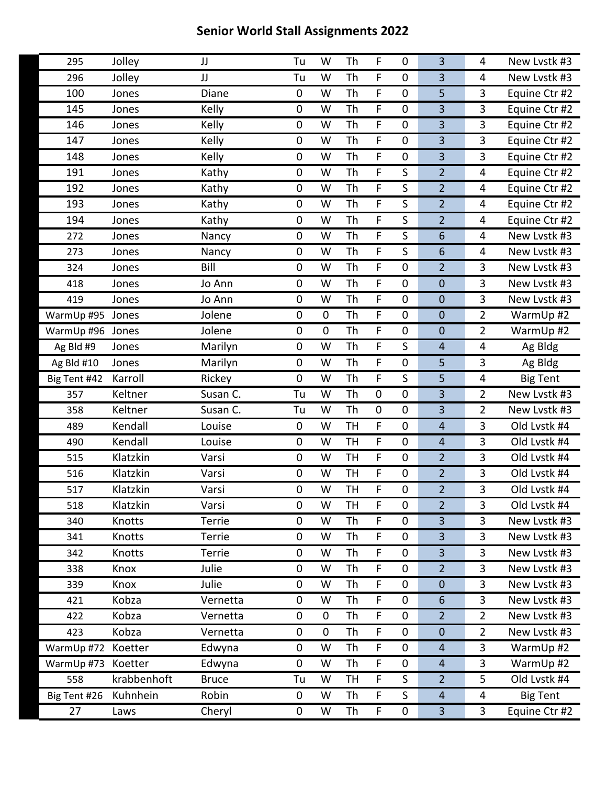| 295          | Jolley      | JJ           | Tu          | W           | Th        | F           | 0                | 3               | 4              | New Lystk #3    |
|--------------|-------------|--------------|-------------|-------------|-----------|-------------|------------------|-----------------|----------------|-----------------|
| 296          | Jolley      | JJ           | Tu          | W           | Th        | F           | $\pmb{0}$        | 3               | 4              | New Lvstk #3    |
| 100          | Jones       | Diane        | $\mathbf 0$ | W           | Th        | F           | $\mathbf 0$      | 5               | 3              | Equine Ctr #2   |
| 145          | Jones       | Kelly        | $\pmb{0}$   | W           | Th        | F           | 0                | 3               | 3              | Equine Ctr #2   |
| 146          | Jones       | Kelly        | $\pmb{0}$   | W           | Th        | F           | $\mathbf 0$      | 3               | 3              | Equine Ctr #2   |
| 147          | Jones       | Kelly        | $\mathbf 0$ | W           | Th        | F           | $\mathbf 0$      | 3               | 3              | Equine Ctr #2   |
| 148          | Jones       | Kelly        | $\pmb{0}$   | W           | Th        | F           | 0                | 3               | 3              | Equine Ctr #2   |
| 191          | Jones       | Kathy        | $\pmb{0}$   | W           | Th        | F           | S                | $\overline{2}$  | 4              | Equine Ctr #2   |
| 192          | Jones       | Kathy        | $\mathbf 0$ | W           | Th        | F           | S                | $\overline{2}$  | 4              | Equine Ctr #2   |
| 193          | Jones       | Kathy        | $\pmb{0}$   | W           | Th        | F           | S                | $\overline{2}$  | 4              | Equine Ctr #2   |
| 194          | Jones       | Kathy        | $\pmb{0}$   | W           | Th        | F           | $\sf S$          | $\overline{2}$  | 4              | Equine Ctr #2   |
| 272          | Jones       | Nancy        | $\mathbf 0$ | W           | Th        | F           | S                | $6\phantom{1}6$ | 4              | New Lvstk #3    |
| 273          | Jones       | Nancy        | $\pmb{0}$   | W           | Th        | F           | S                | $6\phantom{1}6$ | 4              | New Lystk #3    |
| 324          | Jones       | Bill         | $\pmb{0}$   | W           | Th        | F           | 0                | $\overline{2}$  | 3              | New Lystk #3    |
| 418          | Jones       | Jo Ann       | $\mathbf 0$ | W           | Th        | F           | $\mathbf 0$      | $\mathbf 0$     | 3              | New Lvstk #3    |
| 419          | Jones       | Jo Ann       | $\pmb{0}$   | W           | Th        | F           | $\boldsymbol{0}$ | $\mathbf 0$     | 3              | New Lystk #3    |
| WarmUp #95   | Jones       | Jolene       | $\mathbf 0$ | $\mathbf 0$ | Th        | F           | $\mathbf 0$      | $\mathbf 0$     | $\overline{2}$ | WarmUp #2       |
| WarmUp #96   | Jones       | Jolene       | $\mathbf 0$ | $\mathbf 0$ | Th        | F           | $\mathbf 0$      | $\mathbf 0$     | $\overline{2}$ | WarmUp #2       |
| Ag Bld #9    | Jones       | Marilyn      | $\pmb{0}$   | W           | Th        | F           | S                | $\overline{4}$  | 4              | Ag Bldg         |
| Ag Bld #10   | Jones       | Marilyn      | $\mathbf 0$ | W           | <b>Th</b> | F           | $\mathbf 0$      | 5               | 3              | Ag Bldg         |
| Big Tent #42 | Karroll     | Rickey       | $\mathbf 0$ | W           | Th        | F.          | S                | 5               | 4              | <b>Big Tent</b> |
| 357          | Keltner     | Susan C.     | Tu          | W           | Th        | $\pmb{0}$   | $\boldsymbol{0}$ | 3               | $\overline{2}$ | New Lvstk #3    |
| 358          | Keltner     | Susan C.     | Tu          | W           | Th        | $\pmb{0}$   | $\mathbf 0$      | 3               | $\overline{2}$ | New Lvstk #3    |
| 489          | Kendall     | Louise       | $\mathbf 0$ | W           | <b>TH</b> | F           | $\mathbf 0$      | $\overline{4}$  | 3              | Old Lvstk #4    |
| 490          | Kendall     | Louise       | $\mathbf 0$ | W           | <b>TH</b> | F           | $\pmb{0}$        | $\overline{4}$  | 3              | Old Lvstk #4    |
| 515          | Klatzkin    | Varsi        | $\pmb{0}$   | W           | <b>TH</b> | F           | $\mathbf 0$      | $\overline{2}$  | 3              | Old Lvstk #4    |
| 516          | Klatzkin    | Varsi        | $\mathbf 0$ | W           | <b>TH</b> | F           | $\mathbf 0$      | $\overline{2}$  | 3              | Old Lvstk #4    |
| 517          | Klatzkin    | Varsi        | $\pmb{0}$   | W           | <b>TH</b> | F           | 0                | $\overline{2}$  | 3              | Old Lvstk #4    |
| 518          | Klatzkin    | Varsi        | 0           | W           | <b>TH</b> | F           | $\pmb{0}$        | $\overline{2}$  | 3              | Old Lvstk #4    |
| 340          | Knotts      | Terrie       | $\mathbf 0$ | W           | Th        | F.          | 0                | 3               | 3              | New Lvstk #3    |
| 341          | Knotts      | Terrie       | $\pmb{0}$   | W           | Th        | F           | $\pmb{0}$        | 3               | 3              | New Lystk #3    |
| 342          | Knotts      | Terrie       | $\pmb{0}$   | W           | Th        | F           | 0                | 3               | 3              | New Lvstk #3    |
| 338          | Knox        | Julie        | $\pmb{0}$   | W           | Th        | F           | $\pmb{0}$        | $\overline{2}$  | 3              | New Lvstk #3    |
| 339          | Knox        | Julie        | $\pmb{0}$   | W           | Th        | F           | $\pmb{0}$        | $\mathbf 0$     | 3              | New Lystk #3    |
| 421          | Kobza       | Vernetta     | $\pmb{0}$   | W           | Th        | F           | 0                | $6\phantom{1}6$ | 3              | New Lvstk #3    |
| 422          | Kobza       | Vernetta     | $\pmb{0}$   | $\mathbf 0$ | Th        | F           | $\pmb{0}$        | $\overline{2}$  | $\overline{2}$ | New Lvstk #3    |
| 423          | Kobza       | Vernetta     | $\pmb{0}$   | $\mathbf 0$ | Th        | F           | $\pmb{0}$        | $\mathbf 0$     | $\overline{2}$ | New Lystk #3    |
| WarmUp #72   | Koetter     | Edwyna       | $\pmb{0}$   | W           | Th        | F           | $\mathbf 0$      | $\overline{4}$  | 3              | WarmUp #2       |
| WarmUp #73   | Koetter     | Edwyna       | $\pmb{0}$   | W           | Th        | F           | 0                | $\overline{4}$  | 3              | WarmUp #2       |
| 558          | krabbenhoft | <b>Bruce</b> | Tu          | W           | TH        | F           | S                | $\overline{2}$  | 5              | Old Lvstk #4    |
| Big Tent #26 | Kuhnhein    | Robin        | $\mathbf 0$ | W           | Th        | F           | S                | $\overline{4}$  | 4              | <b>Big Tent</b> |
| 27           | Laws        | Cheryl       | $\pmb{0}$   | W           | Th        | $\mathsf F$ | 0                | $\overline{3}$  | $\mathbf{3}$   | Equine Ctr #2   |
|              |             |              |             |             |           |             |                  |                 |                |                 |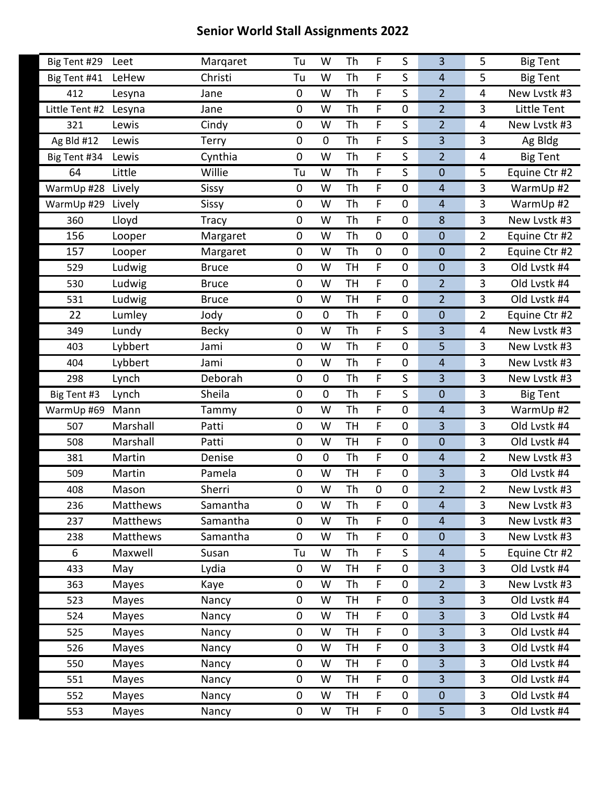| Big Tent #29   | Leet            | Margaret     | Tu        | W           | Th        | F              | S                | 3              | 5              | <b>Big Tent</b> |
|----------------|-----------------|--------------|-----------|-------------|-----------|----------------|------------------|----------------|----------------|-----------------|
| Big Tent #41   | LeHew           | Christi      | Tu        | W           | Th        | F              | S                | $\overline{4}$ | 5              | <b>Big Tent</b> |
| 412            | Lesyna          | Jane         | 0         | W           | Th        | F              | S                | $\overline{2}$ | 4              | New Lvstk #3    |
| Little Tent #2 | Lesyna          | Jane         | 0         | W           | Th        | F              | 0                | $\overline{2}$ | 3              | Little Tent     |
| 321            | Lewis           | Cindy        | 0         | W           | Th        | F              | S                | $\overline{2}$ | 4              | New Lystk #3    |
| Ag Bld #12     | Lewis           | Terry        | $\pmb{0}$ | $\mathbf 0$ | Th        | F              | $\mathsf S$      | 3              | 3              | Ag Bldg         |
| Big Tent #34   | Lewis           | Cynthia      | 0         | W           | Th        | F              | S                | $\overline{2}$ | 4              | <b>Big Tent</b> |
| 64             | Little          | Willie       | Tu        | W           | Th        | F              | S                | $\mathbf 0$    | 5              | Equine Ctr #2   |
| WarmUp #28     | Lively          | Sissy        | 0         | W           | Th        | F              | $\mathbf 0$      | $\overline{4}$ | 3              | WarmUp #2       |
| WarmUp #29     | Lively          | Sissy        | 0         | W           | Th        | F              | $\mathbf 0$      | $\overline{4}$ | 3              | WarmUp #2       |
| 360            | Lloyd           | Tracy        | 0         | W           | Th        | F              | $\boldsymbol{0}$ | 8              | 3              | New Lvstk #3    |
| 156            | Looper          | Margaret     | 0         | W           | Th        | $\pmb{0}$      | $\mathbf 0$      | $\mathbf 0$    | $\overline{2}$ | Equine Ctr #2   |
| 157            | Looper          | Margaret     | 0         | W           | Th        | $\pmb{0}$      | $\boldsymbol{0}$ | $\mathbf 0$    | $\overline{2}$ | Equine Ctr #2   |
| 529            | Ludwig          | <b>Bruce</b> | 0         | W           | <b>TH</b> | F              | $\boldsymbol{0}$ | $\mathbf 0$    | 3              | Old Lystk #4    |
| 530            | Ludwig          | <b>Bruce</b> | 0         | W           | <b>TH</b> | F              | $\mathbf 0$      | $\overline{2}$ | 3              | Old Lvstk #4    |
| 531            | Ludwig          | <b>Bruce</b> | 0         | W           | <b>TH</b> | F              | $\mathbf 0$      | $\overline{2}$ | 3              | Old Lvstk #4    |
| 22             | Lumley          | Jody         | 0         | $\mathbf 0$ | Th        | F              | $\boldsymbol{0}$ | $\mathbf 0$    | $\overline{2}$ | Equine Ctr #2   |
| 349            | Lundy           | <b>Becky</b> | 0         | W           | Th        | F              | S                | 3              | 4              | New Lvstk #3    |
| 403            | Lybbert         | Jami         | 0         | W           | Th        | F              | $\boldsymbol{0}$ | 5              | 3              | New Lvstk #3    |
| 404            | Lybbert         | Jami         | 0         | W           | Th        | F              | $\boldsymbol{0}$ | $\overline{4}$ | 3              | New Lvstk #3    |
| 298            | Lynch           | Deborah      | 0         | $\mathbf 0$ | Th        | F              | S                | 3              | 3              | New Lvstk #3    |
| Big Tent #3    | Lynch           | Sheila       | 0         | $\mathbf 0$ | Th        | F              | $\mathsf S$      | $\mathbf 0$    | 3              | <b>Big Tent</b> |
| WarmUp #69     | Mann            | Tammy        | 0         | W           | Th        | F              | $\boldsymbol{0}$ | $\overline{4}$ | 3              | WarmUp #2       |
| 507            | Marshall        | Patti        | 0         | W           | <b>TH</b> | F              | $\mathbf 0$      | 3              | 3              | Old Lvstk #4    |
| 508            | Marshall        | Patti        | 0         | W           | <b>TH</b> | F              | $\mathbf 0$      | $\mathbf 0$    | 3              | Old Lvstk #4    |
| 381            | Martin          | Denise       | 0         | $\mathbf 0$ | Th        | F              | $\mathbf 0$      | $\overline{4}$ | $\overline{2}$ | New Lvstk #3    |
| 509            | Martin          | Pamela       | 0         | W           | <b>TH</b> | F              | $\mathbf 0$      | 3              | 3              | Old Lvstk #4    |
| 408            | Mason           | Sherri       | 0         | W           | Th        | 0              | 0                | $\overline{2}$ | $\overline{2}$ | New Lvstk #3    |
| 236            | Matthews        | Samantha     | 0         | W           | Th        | F              | 0                | $\overline{4}$ | 3              | New Lvstk #3    |
| 237            | Matthews        | Samantha     | 0         | W           | <b>Th</b> | F              | $\mathbf 0$      | $\overline{4}$ | 3              | New Lvstk #3    |
| 238            | <b>Matthews</b> | Samantha     | 0         | W           | Th        | F              | $\pmb{0}$        | $\mathbf 0$    | 3              | New Lvstk #3    |
| 6              | Maxwell         | Susan        | Tu        | W           | Th        | $\overline{F}$ | $\mathsf S$      | $\overline{4}$ | 5              | Equine Ctr #2   |
| 433            | May             | Lydia        | $\pmb{0}$ | W           | <b>TH</b> | F              | $\mathbf 0$      | $\overline{3}$ | 3              | Old Lvstk #4    |
| 363            | Mayes           | Kaye         | 0         | W           | Th        | F              | $\pmb{0}$        | $\overline{2}$ | 3              | New Lvstk #3    |
| 523            | Mayes           | Nancy        | 0         | W           | <b>TH</b> | $\overline{F}$ | $\pmb{0}$        | $\overline{3}$ | $\overline{3}$ | Old Lvstk #4    |
| 524            | Mayes           | Nancy        | 0         | W           | <b>TH</b> | F              | $\mathbf 0$      | $\overline{3}$ | 3              | Old Lvstk #4    |
| 525            | Mayes           | Nancy        | 0         | W           | TH        | F              | $\pmb{0}$        | $\overline{3}$ | 3              | Old Lvstk #4    |
| 526            | Mayes           | Nancy        | 0         | W           | <b>TH</b> | F              | $\mathbf 0$      | $\overline{3}$ | 3              | Old Lvstk #4    |
| 550            | Mayes           | Nancy        | 0         | W           | <b>TH</b> | F              | $\mathbf 0$      | $\overline{3}$ | $\overline{3}$ | Old Lvstk #4    |
| 551            | Mayes           | Nancy        | 0         | W           | TН        | F              | 0                | $\overline{3}$ | 3              | Old Lvstk #4    |
| 552            | Mayes           | Nancy        | 0         | W           | <b>TH</b> | F              | $\mathbf 0$      | $\pmb{0}$      | 3              | Old Lvstk #4    |
|                |                 |              |           |             |           |                |                  |                |                |                 |
| 553            | Mayes           | Nancy        | 0         | W           | TH        | F              | $\mathbf 0$      | 5              | $\overline{3}$ | Old Lvstk #4    |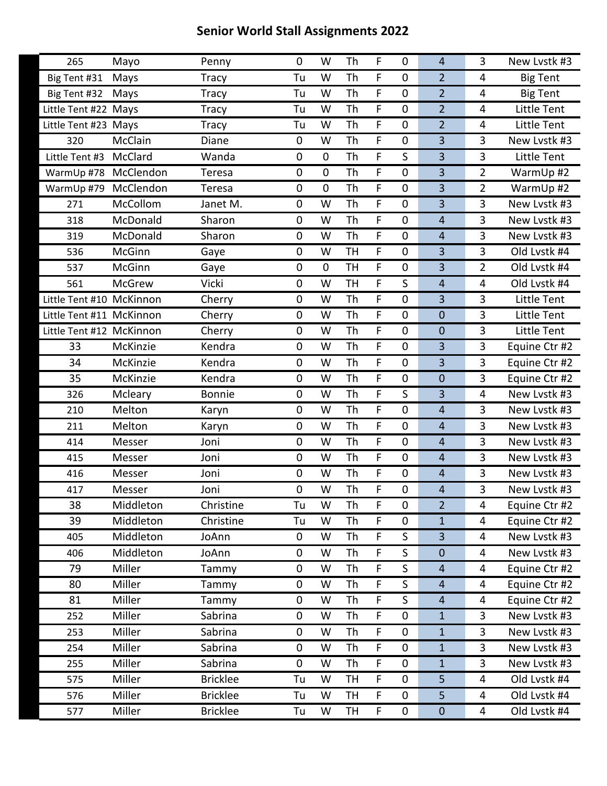| 265                      | Mayo          | Penny           | 0           | W           | Th        | F           | $\mathbf 0$      | $\overline{4}$   | 3              | New Lystk #3       |
|--------------------------|---------------|-----------------|-------------|-------------|-----------|-------------|------------------|------------------|----------------|--------------------|
| Big Tent #31             | Mays          | <b>Tracy</b>    | Tu          | W           | Th        | F           | $\mathbf 0$      | $\overline{2}$   | 4              | <b>Big Tent</b>    |
| Big Tent #32             | Mays          | <b>Tracy</b>    | Tu          | W           | Th        | F           | $\mathbf 0$      | $\overline{2}$   | 4              | <b>Big Tent</b>    |
| Little Tent #22 Mays     |               | <b>Tracy</b>    | Tu          | W           | Th        | F           | $\boldsymbol{0}$ | $\overline{2}$   | 4              | Little Tent        |
| Little Tent #23 Mays     |               | <b>Tracy</b>    | Tu          | W           | Th        | F           | $\mathbf 0$      | $\overline{2}$   | 4              | Little Tent        |
| 320                      | McClain       | Diane           | $\mathbf 0$ | W           | Th        | F           | $\mathbf 0$      | $\overline{3}$   | 3              | New Lvstk #3       |
| Little Tent #3           | McClard       | Wanda           | $\pmb{0}$   | $\pmb{0}$   | Th        | F           | S                | $\overline{3}$   | 3              | Little Tent        |
| WarmUp #78               | McClendon     | Teresa          | 0           | $\mathbf 0$ | Th        | F           | $\boldsymbol{0}$ | $\overline{3}$   | $\overline{2}$ | WarmUp #2          |
| WarmUp #79               | McClendon     | Teresa          | 0           | $\mathbf 0$ | Th        | F           | $\mathbf 0$      | 3                | $\overline{2}$ | WarmUp #2          |
| 271                      | McCollom      | Janet M.        | 0           | W           | Th        | F           | $\boldsymbol{0}$ | $\overline{3}$   | 3              | New Lvstk #3       |
| 318                      | McDonald      | Sharon          | 0           | W           | Th        | F           | $\boldsymbol{0}$ | $\overline{4}$   | 3              | New Lvstk #3       |
| 319                      | McDonald      | Sharon          | 0           | W           | Th        | $\mathsf F$ | $\mathbf 0$      | $\overline{4}$   | $\overline{3}$ | New Lvstk #3       |
| 536                      | McGinn        | Gaye            | 0           | W           | <b>TH</b> | F           | 0                | 3                | 3              | Old Lvstk #4       |
| 537                      | McGinn        | Gaye            | 0           | $\mathbf 0$ | <b>TH</b> | F           | $\mathbf 0$      | $\overline{3}$   | $\overline{2}$ | Old Lvstk #4       |
| 561                      | <b>McGrew</b> | Vicki           | 0           | W           | <b>TH</b> | $\mathsf F$ | S                | $\overline{4}$   | 4              | Old Lvstk #4       |
| Little Tent #10 McKinnon |               | Cherry          | 0           | W           | Th        | F           | $\boldsymbol{0}$ | $\overline{3}$   | 3              | Little Tent        |
| Little Tent #11 McKinnon |               | Cherry          | 0           | W           | Th        | F           | $\mathbf 0$      | $\boldsymbol{0}$ | 3              | Little Tent        |
| Little Tent #12 McKinnon |               | Cherry          | $\mathbf 0$ | W           | Th        | $\mathsf F$ | $\mathbf 0$      | $\mathbf 0$      | 3              | <b>Little Tent</b> |
| 33                       | McKinzie      | Kendra          | 0           | W           | Th        | F           | 0                | $\overline{3}$   | 3              | Equine Ctr #2      |
| 34                       | McKinzie      | Kendra          | 0           | W           | Th        | F           | $\mathbf 0$      | $\overline{3}$   | 3              | Equine Ctr #2      |
| 35                       | McKinzie      | Kendra          | $\mathbf 0$ | W           | Th        | $\mathsf F$ | $\mathbf 0$      | $\mathbf 0$      | $\overline{3}$ | Equine Ctr #2      |
| 326                      | Mcleary       | <b>Bonnie</b>   | 0           | W           | Th        | F           | S                | $\overline{3}$   | 4              | New Lvstk #3       |
| 210                      | Melton        | Karyn           | 0           | W           | Th        | F           | $\mathbf 0$      | $\overline{4}$   | 3              | New Lystk #3       |
| 211                      | Melton        | Karyn           | 0           | W           | Th        | $\mathsf F$ | $\mathbf 0$      | $\overline{4}$   | $\overline{3}$ | New Lvstk #3       |
| 414                      | Messer        | Joni            | 0           | W           | Th        | F           | 0                | $\overline{4}$   | 3              | New Lvstk #3       |
| 415                      | Messer        | Joni            | 0           | W           | Th        | F           | $\mathbf 0$      | $\overline{4}$   | 3              | New Lystk #3       |
| 416                      | Messer        | Joni            | 0           | W           | Th        | F           | $\mathbf 0$      | $\overline{4}$   | $\overline{3}$ | New Lystk #3       |
| 417                      | Messer        | Joni            | 0           | W           | Th        | F           | 0                | $\overline{4}$   | 3              | New Lvstk #3       |
| 38                       | Middleton     | Christine       | Tu          | W           | Th        | F           | $\mathbf 0$      | $\overline{2}$   | 4              | Equine Ctr #2      |
| 39                       | Middleton     | Christine       | Tu          | W           | Th        | F.          | $\pmb{0}$        | $\mathbf{1}$     | 4              | Equine Ctr #2      |
| 405                      | Middleton     | JoAnn           | 0           | W           | Th        | F           | S                | $\overline{3}$   | 4              | New Lvstk #3       |
| 406                      | Middleton     | JoAnn           | $\pmb{0}$   | W           | Th        | F           | $\mathsf{S}$     | $\mathbf 0$      | 4              | New Lvstk #3       |
| 79                       | Miller        | Tammy           | $\mathbf 0$ | W           | Th        | F.          | S                | $\overline{4}$   | 4              | Equine Ctr #2      |
| 80                       | Miller        | Tammy           | 0           | W           | Th        | F           | S                | $\overline{4}$   | 4              | Equine Ctr #2      |
| 81                       | Miller        | Tammy           | $\pmb{0}$   | W           | Th        | F           | $\mathsf{S}$     | $\overline{4}$   | 4              | Equine Ctr #2      |
| 252                      | Miller        | Sabrina         | 0           | W           | Th        | F           | $\boldsymbol{0}$ | $\mathbf{1}$     | 3              | New Lvstk #3       |
| 253                      | Miller        | Sabrina         | 0           | W           | Th        | F           | 0                | $\mathbf{1}$     | 3              | New Lvstk #3       |
| 254                      | Miller        | Sabrina         | 0           | W           | Th        | F           | $\pmb{0}$        | $1\,$            | $\overline{3}$ | New Lystk #3       |
| 255                      | Miller        | Sabrina         | $\mathbf 0$ | W           | Th        | F           | $\mathbf 0$      | $\mathbf{1}$     | 3              | New Lvstk #3       |
| 575                      | Miller        | <b>Bricklee</b> | Tu          | W           | TH        | F           | $\mathbf 0$      | 5                | 4              | Old Lvstk #4       |
| 576                      | Miller        | <b>Bricklee</b> | Tu          | W           | <b>TH</b> | F           | $\mathbf 0$      | 5                | 4              | Old Lvstk #4       |
| 577                      | Miller        | <b>Bricklee</b> | Tu          | W           | TH        | F.          | 0                | $\pmb{0}$        | 4              | Old Lvstk #4       |
|                          |               |                 |             |             |           |             |                  |                  |                |                    |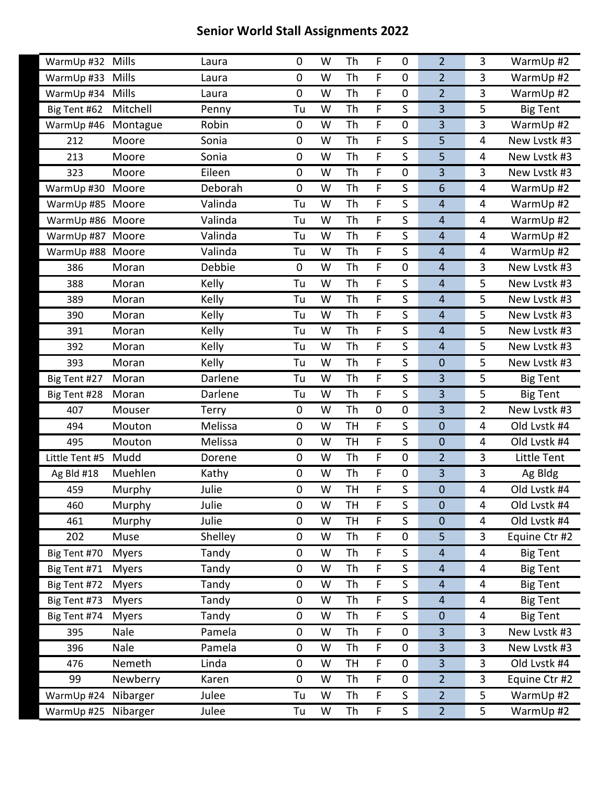| WarmUp #32 Mills    |              | Laura   | 0           | W | Th        | F           | $\mathbf 0$      | $\overline{2}$   | 3              | WarmUp #2       |
|---------------------|--------------|---------|-------------|---|-----------|-------------|------------------|------------------|----------------|-----------------|
| WarmUp #33          | Mills        | Laura   | 0           | W | Th        | F           | $\mathbf 0$      | $\overline{2}$   | 3              | WarmUp #2       |
| WarmUp #34          | Mills        | Laura   | 0           | W | Th        | $\mathsf F$ | 0                | $\overline{2}$   | $\overline{3}$ | WarmUp #2       |
| Big Tent #62        | Mitchell     | Penny   | Tu          | W | Th        | F           | S                | 3                | 5              | <b>Big Tent</b> |
| WarmUp #46          | Montague     | Robin   | 0           | W | Th        | F           | $\boldsymbol{0}$ | $\overline{3}$   | 3              | WarmUp #2       |
| 212                 | Moore        | Sonia   | 0           | W | Th        | F           | S                | 5                | $\overline{4}$ | New Lvstk #3    |
| 213                 | Moore        | Sonia   | 0           | W | Th        | F           | S                | 5                | 4              | New Lvstk #3    |
| 323                 | Moore        | Eileen  | 0           | W | Th        | F           | $\mathbf 0$      | 3                | 3              | New Lystk #3    |
| WarmUp #30          | Moore        | Deborah | $\mathbf 0$ | W | Th        | $\mathsf F$ | S                | 6                | 4              | WarmUp #2       |
| WarmUp #85          | Moore        | Valinda | Tu          | W | Th        | F           | S                | $\overline{4}$   | 4              | WarmUp #2       |
| WarmUp #86 Moore    |              | Valinda | Tu          | W | Th        | F           | S                | $\overline{4}$   | 4              | WarmUp #2       |
| WarmUp #87 Moore    |              | Valinda | Tu          | W | Th        | $\mathsf F$ | S                | $\overline{4}$   | 4              | WarmUp #2       |
| WarmUp #88 Moore    |              | Valinda | Tu          | W | Th        | F           | S                | $\overline{4}$   | 4              | WarmUp #2       |
| 386                 | Moran        | Debbie  | $\pmb{0}$   | W | Th        | F           | $\mathbf 0$      | $\overline{4}$   | 3              | New Lystk #3    |
| 388                 | Moran        | Kelly   | Tu          | W | Th        | F           | S                | $\overline{4}$   | 5              | New Lvstk #3    |
| 389                 | Moran        | Kelly   | Tu          | W | Th        | F           | S                | $\overline{4}$   | 5              | New Lvstk #3    |
| 390                 | Moran        | Kelly   | Tu          | W | Th        | F           | S                | $\overline{4}$   | 5              | New Lystk #3    |
| 391                 | Moran        | Kelly   | Tu          | W | Th        | F           | S                | $\overline{4}$   | 5              | New Lvstk #3    |
| 392                 | Moran        | Kelly   | Tu          | W | Th        | F           | S                | $\overline{4}$   | 5              | New Lystk #3    |
| 393                 | Moran        | Kelly   | Tu          | W | Th        | F           | $\mathsf S$      | $\boldsymbol{0}$ | 5              | New Lystk #3    |
| Big Tent #27        | Moran        | Darlene | Tu          | W | Th        | F           | S                | 3                | 5              | <b>Big Tent</b> |
| Big Tent #28        | Moran        | Darlene | Tu          | W | Th        | F           | S                | $\overline{3}$   | 5              | <b>Big Tent</b> |
| 407                 | Mouser       | Terry   | $\pmb{0}$   | W | Th        | $\pmb{0}$   | $\mathbf 0$      | 3                | $\overline{2}$ | New Lvstk #3    |
| 494                 | Mouton       | Melissa | 0           | W | <b>TH</b> | F           | S                | $\mathbf 0$      | 4              | Old Lvstk #4    |
| 495                 | Mouton       | Melissa | 0           | W | <b>TH</b> | F           | S                | $\mathbf 0$      | 4              | Old Lvstk #4    |
| Little Tent #5      | Mudd         | Dorene  | 0           | W | Th        | F           | $\mathbf 0$      | $\overline{2}$   | 3              | Little Tent     |
| Ag Bld #18          | Muehlen      | Kathy   | $\mathbf 0$ | W | Th        | F           | $\mathbf 0$      | $\overline{3}$   | 3              | Ag Bldg         |
| 459                 | Murphy       | Julie   | 0           | W | <b>TH</b> | F           | S                | $\mathbf 0$      | 4              | Old Lvstk #4    |
| 460                 | Murphy       | Julie   | 0           | W | <b>TH</b> | F           | S                | $\mathbf 0$      | 4              | Old Lvstk #4    |
| 461                 | Murphy       | Julie   | 0           | W | <b>TH</b> | F           | S                | $\boldsymbol{0}$ | 4              | Old Lvstk #4    |
| 202                 | Muse         | Shelley | 0           | W | Th        | F           | $\mathbf 0$      | 5                | 3              | Equine Ctr #2   |
| Big Tent #70        | <b>Myers</b> | Tandy   | 0           | W | Th        | F           | S                | $\overline{4}$   | 4              | <b>Big Tent</b> |
| Big Tent #71        | <b>Myers</b> | Tandy   | 0           | W | Th        | F           | S                | $\overline{4}$   | 4              | <b>Big Tent</b> |
| Big Tent #72        | <b>Myers</b> | Tandy   | 0           | W | Th        | F           | S                | $\overline{4}$   | 4              | <b>Big Tent</b> |
| Big Tent #73        | <b>Myers</b> | Tandy   | 0           | W | <b>Th</b> | F           | S                | $\overline{4}$   | 4              | <b>Big Tent</b> |
| Big Tent #74        | <b>Myers</b> | Tandy   | 0           | W | Th        | F.          | S                | $\boldsymbol{0}$ | 4              | <b>Big Tent</b> |
| 395                 | Nale         | Pamela  | 0           | W | Th        | F           | $\boldsymbol{0}$ | $\overline{3}$   | $\overline{3}$ | New Lvstk #3    |
| 396                 | Nale         | Pamela  | 0           | W | Th        | F           | $\mathbf 0$      | 3                | 3              | New Lvstk #3    |
| 476                 | Nemeth       | Linda   | $\pmb{0}$   | W | TH        | F           | $\mathbf 0$      | 3                | 3              | Old Lvstk #4    |
| 99                  | Newberry     | Karen   | 0           | W | Th        | F           | $\mathbf 0$      | $\overline{2}$   | 3              | Equine Ctr #2   |
| WarmUp #24          | Nibarger     | Julee   | Tu          | W | Th        | F           | S                | $\overline{2}$   | 5              | WarmUp #2       |
| WarmUp #25 Nibarger |              | Julee   | Tu          | W | Th        | F           | $\sf S$          | $\overline{2}$   | 5              | WarmUp #2       |
|                     |              |         |             |   |           |             |                  |                  |                |                 |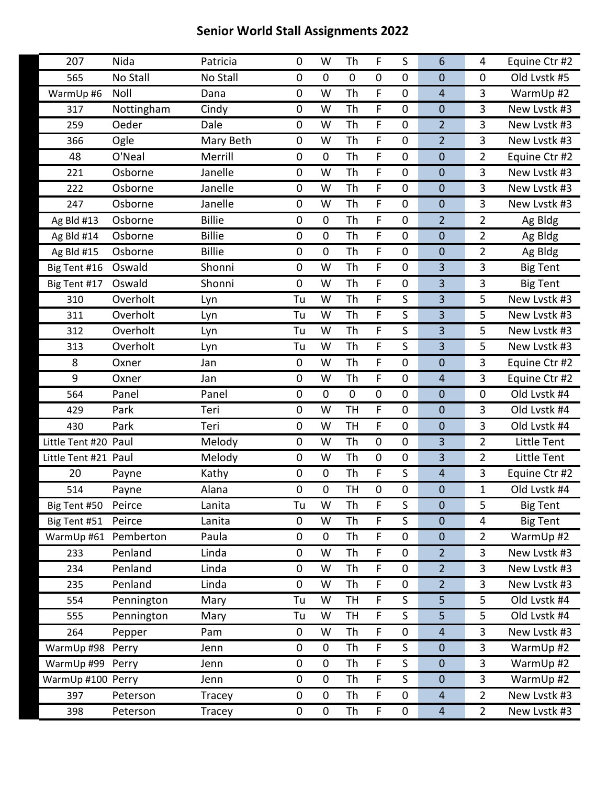| 207                  | Nida       | Patricia      | 0              | W           | Th        | F         | S                | 6                       | 4              | Equine Ctr #2   |
|----------------------|------------|---------------|----------------|-------------|-----------|-----------|------------------|-------------------------|----------------|-----------------|
| 565                  | No Stall   | No Stall      | 0              | $\mathbf 0$ | $\pmb{0}$ | $\pmb{0}$ | $\mathbf 0$      | $\mathbf 0$             | $\pmb{0}$      | Old Lvstk #5    |
| WarmUp #6            | Noll       | Dana          | 0              | W           | Th        | F         | $\mathbf 0$      | $\overline{4}$          | 3              | WarmUp #2       |
| 317                  | Nottingham | Cindy         | 0              | W           | Th        | F         | $\boldsymbol{0}$ | $\mathbf 0$             | 3              | New Lystk #3    |
| 259                  | Oeder      | Dale          | 0              | W           | Th        | F         | $\mathbf 0$      | $\overline{2}$          | 3              | New Lvstk #3    |
| 366                  | Ogle       | Mary Beth     | 0              | W           | Th        | F         | $\mathbf 0$      | $\overline{2}$          | $\overline{3}$ | New Lvstk #3    |
| 48                   | O'Neal     | Merrill       | 0              | $\mathbf 0$ | Th        | F         | $\boldsymbol{0}$ | $\mathbf 0$             | $\overline{2}$ | Equine Ctr #2   |
| 221                  | Osborne    | Janelle       | 0              | W           | Th        | F         | $\boldsymbol{0}$ | $\mathbf 0$             | 3              | New Lvstk #3    |
| 222                  | Osborne    | Janelle       | 0              | W           | Th        | F         | $\mathbf 0$      | $\mathbf 0$             | 3              | New Lvstk #3    |
| 247                  | Osborne    | Janelle       | 0              | W           | Th        | F         | $\mathbf 0$      | $\mathbf 0$             | 3              | New Lvstk #3    |
| Ag Bld #13           | Osborne    | <b>Billie</b> | 0              | $\mathbf 0$ | Th        | F         | $\pmb{0}$        | $\overline{2}$          | $\overline{2}$ | Ag Bldg         |
| Ag Bld #14           | Osborne    | <b>Billie</b> | 0              | $\mathbf 0$ | Th        | F         | $\mathbf 0$      | $\mathbf 0$             | $\overline{2}$ | Ag Bldg         |
| Ag Bld #15           | Osborne    | <b>Billie</b> | 0              | $\mathbf 0$ | Th        | F         | $\mathbf 0$      | $\mathbf 0$             | $\overline{2}$ | Ag Bldg         |
| Big Tent #16         | Oswald     | Shonni        | 0              | W           | Th        | F         | $\mathbf 0$      | 3                       | 3              | <b>Big Tent</b> |
| Big Tent #17         | Oswald     | Shonni        | $\overline{0}$ | W           | Th        | F         | $\mathbf 0$      | 3                       | 3              | <b>Big Tent</b> |
| 310                  | Overholt   | Lyn           | Tu             | W           | Th        | F         | S                | 3                       | 5              | New Lvstk #3    |
| 311                  | Overholt   | Lyn           | Tu             | W           | Th        | F         | S                | 3                       | 5              | New Lvstk #3    |
| 312                  | Overholt   | Lyn           | Tu             | W           | Th        | F         | $\mathsf S$      | 3                       | 5              | New Lvstk #3    |
| 313                  | Overholt   | Lyn           | Tu             | W           | Th        | F         | S                | 3                       | 5              | New Lystk #3    |
| 8                    | Oxner      | Jan           | $\pmb{0}$      | W           | Th        | F         | $\mathbf 0$      | $\mathbf 0$             | 3              | Equine Ctr #2   |
| 9                    | Oxner      | Jan           | 0              | W           | Th        | F         | $\mathbf 0$      | $\overline{4}$          | $\overline{3}$ | Equine Ctr #2   |
| 564                  | Panel      | Panel         | 0              | $\mathbf 0$ | $\pmb{0}$ | $\pmb{0}$ | $\mathbf 0$      | $\mathbf 0$             | $\pmb{0}$      | Old Lvstk #4    |
| 429                  | Park       | Teri          | $\pmb{0}$      | W           | <b>TH</b> | F         | $\mathbf 0$      | $\mathbf 0$             | 3              | Old Lvstk #4    |
| 430                  | Park       | Teri          | 0              | W           | <b>TH</b> | F.        | $\mathbf 0$      | $\mathbf 0$             | 3              | Old Lvstk #4    |
| Little Tent #20 Paul |            | Melody        | 0              | W           | Th        | $\pmb{0}$ | $\mathbf 0$      | $\overline{\mathbf{3}}$ | $\overline{2}$ | Little Tent     |
| Little Tent #21 Paul |            | Melody        | 0              | W           | Th        | $\pmb{0}$ | $\mathbf 0$      | 3                       | $\overline{2}$ | Little Tent     |
| 20                   | Payne      | Kathy         | 0              | $\mathbf 0$ | Th        | F         | S                | $\overline{4}$          | 3              | Equine Ctr #2   |
| 514                  | Payne      | Alana         | 0              | $\mathbf 0$ | <b>TH</b> | 0         | 0                | $\mathbf 0$             | $\mathbf{1}$   | Old Lvstk #4    |
| Big Tent #50         | Peirce     | Lanita        | Tu             | W           | Th        | F         | $\sf S$          | $\mathbf 0$             | 5              | <b>Big Tent</b> |
| Big Tent #51         | Peirce     | Lanita        | $\mathbf 0$    | W           | Th        | F.        | S                | $\mathbf 0$             | 4              | <b>Big Tent</b> |
| WarmUp #61           | Pemberton  | Paula         | 0              | $\mathbf 0$ | Th        | F         | $\mathbf 0$      | $\mathbf 0$             | $\overline{2}$ | WarmUp #2       |
| 233                  | Penland    | Linda         | 0              | W           | Th        | F         | $\pmb{0}$        | $\overline{2}$          | $\overline{3}$ | New Lvstk #3    |
| 234                  | Penland    | Linda         | 0              | W           | Th        | F         | $\pmb{0}$        | $\overline{2}$          | 3              | New Lvstk #3    |
| 235                  | Penland    | Linda         | 0              | W           | Th        | F         | $\pmb{0}$        | $\overline{2}$          | 3              | New Lvstk #3    |
| 554                  | Pennington | Mary          | Tu             | W           | <b>TH</b> | F         | S                | 5                       | 5              | Old Lvstk #4    |
| 555                  | Pennington | Mary          | Tu             | W           | TH        | F         | S                | 5                       | 5              | Old Lvstk #4    |
| 264                  | Pepper     | Pam           | 0              | W           | Th        | F         | $\boldsymbol{0}$ | $\overline{4}$          | 3              | New Lvstk #3    |
| WarmUp #98           | Perry      | Jenn          | 0              | $\pmb{0}$   | Th        | F         | S                | $\mathbf 0$             | 3              | WarmUp #2       |
| WarmUp #99           | Perry      | Jenn          | 0              | $\pmb{0}$   | Th        | F         | S                | $\mathbf 0$             | 3              | WarmUp #2       |
| WarmUp #100 Perry    |            | Jenn          | 0              | $\mathbf 0$ | Th        | F         | S                | $\mathbf 0$             | 3              | WarmUp #2       |
| 397                  | Peterson   | Tracey        | 0              | $\mathbf 0$ | Th        | F         | $\boldsymbol{0}$ | $\overline{4}$          | $\overline{2}$ | New Lvstk #3    |
| 398                  | Peterson   | Tracey        | 0              | 0           | Th        | F         | $\mathbf 0$      | $\overline{4}$          | $\overline{2}$ | New Lvstk #3    |
|                      |            |               |                |             |           |           |                  |                         |                |                 |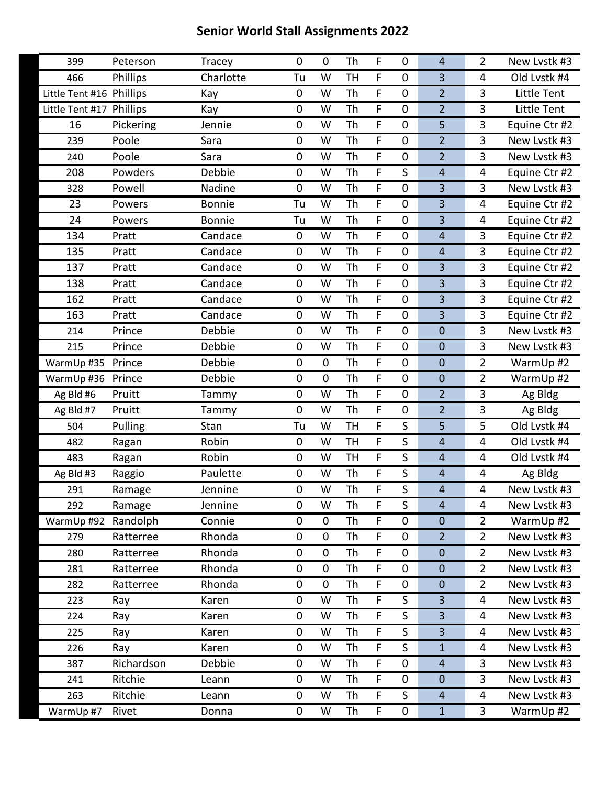| 399                      | Peterson   | Tracey        | 0           | $\mathbf 0$ | Th        | F           | $\mathbf 0$      | $\overline{4}$          | $\overline{2}$ | New Lvstk #3  |
|--------------------------|------------|---------------|-------------|-------------|-----------|-------------|------------------|-------------------------|----------------|---------------|
| 466                      | Phillips   | Charlotte     | Tu          | W           | <b>TH</b> | F           | $\mathbf 0$      | $\overline{3}$          | 4              | Old Lvstk #4  |
| Little Tent #16 Phillips |            | Kay           | 0           | W           | Th        | F           | $\mathbf 0$      | $\overline{2}$          | $\overline{3}$ | Little Tent   |
| Little Tent #17 Phillips |            | Kay           | 0           | W           | Th        | F           | $\boldsymbol{0}$ | $\overline{2}$          | 3              | Little Tent   |
| 16                       | Pickering  | Jennie        | 0           | W           | Th        | F           | $\boldsymbol{0}$ | 5                       | 3              | Equine Ctr #2 |
| 239                      | Poole      | Sara          | 0           | W           | Th        | $\mathsf F$ | $\mathbf 0$      | $\overline{2}$          | $\overline{3}$ | New Lvstk #3  |
| 240                      | Poole      | Sara          | 0           | W           | Th        | F           | 0                | $\overline{2}$          | 3              | New Lvstk #3  |
| 208                      | Powders    | Debbie        | 0           | W           | Th        | F           | S                | $\overline{4}$          | 4              | Equine Ctr #2 |
| 328                      | Powell     | Nadine        | $\mathbf 0$ | W           | Th        | $\mathsf F$ | $\mathbf 0$      | $\overline{3}$          | $\overline{3}$ | New Lvstk #3  |
| 23                       | Powers     | <b>Bonnie</b> | Tu          | W           | Th        | F           | $\mathbf 0$      | $\overline{3}$          | 4              | Equine Ctr #2 |
| 24                       | Powers     | <b>Bonnie</b> | Tu          | W           | Th        | F           | $\boldsymbol{0}$ | $\overline{\mathbf{3}}$ | 4              | Equine Ctr #2 |
| 134                      | Pratt      | Candace       | $\mathbf 0$ | W           | Th        | $\mathsf F$ | $\mathbf 0$      | $\overline{4}$          | $\overline{3}$ | Equine Ctr #2 |
| 135                      | Pratt      | Candace       | 0           | W           | Th        | F           | $\mathbf 0$      | $\overline{4}$          | 3              | Equine Ctr #2 |
| 137                      | Pratt      | Candace       | 0           | W           | Th        | F           | $\boldsymbol{0}$ | $\overline{3}$          | 3              | Equine Ctr #2 |
| 138                      | Pratt      | Candace       | 0           | W           | Th        | F           | $\mathbf 0$      | 3                       | $\overline{3}$ | Equine Ctr #2 |
| 162                      | Pratt      | Candace       | 0           | W           | Th        | F           | $\mathbf 0$      | $\overline{3}$          | 3              | Equine Ctr #2 |
| 163                      | Pratt      | Candace       | 0           | W           | Th        | F           | $\boldsymbol{0}$ | $\overline{3}$          | 3              | Equine Ctr #2 |
| 214                      | Prince     | Debbie        | 0           | W           | Th        | F           | $\mathbf 0$      | $\mathbf 0$             | $\overline{3}$ | New Lvstk #3  |
| 215                      | Prince     | Debbie        | 0           | W           | Th        | F           | $\mathbf 0$      | $\boldsymbol{0}$        | 3              | New Lvstk #3  |
| WarmUp #35               | Prince     | Debbie        | $\pmb{0}$   | $\mathbf 0$ | Th        | F           | $\mathbf 0$      | $\mathbf 0$             | $\overline{2}$ | WarmUp #2     |
| WarmUp #36               | Prince     | Debbie        | 0           | $\mathbf 0$ | Th        | F           | $\mathbf 0$      | $\mathbf 0$             | $\overline{2}$ | WarmUp #2     |
| Ag Bld #6                | Pruitt     | Tammy         | 0           | W           | Th        | F           | $\mathbf 0$      | $\overline{2}$          | 3              | Ag Bldg       |
| Ag Bld #7                | Pruitt     | Tammy         | 0           | W           | Th        | F           | $\mathbf 0$      | $\overline{2}$          | $\overline{3}$ | Ag Bldg       |
| 504                      | Pulling    | Stan          | Tu          | W           | <b>TH</b> | F           | S                | 5                       | 5              | Old Lvstk #4  |
| 482                      | Ragan      | Robin         | 0           | W           | <b>TH</b> | F           | S                | $\overline{4}$          | 4              | Old Lvstk #4  |
| 483                      | Ragan      | Robin         | 0           | W           | <b>TH</b> | F           | $\mathsf S$      | $\overline{4}$          | 4              | Old Lvstk #4  |
| Ag Bld #3                | Raggio     | Paulette      | $\mathbf 0$ | W           | Th        | F           | S                | $\overline{4}$          | 4              | Ag Bldg       |
| 291                      | Ramage     | Jennine       | 0           | W           | Th        | F           | S                | $\overline{4}$          | 4              | New Lvstk #3  |
| 292                      | Ramage     | Jennine       | 0           | W           | Th        | F           | $\mathsf S$      | $\overline{4}$          | 4              | New Lystk #3  |
| WarmUp #92               | Randolph   | Connie        | 0           | $\pmb{0}$   | Th        | F.          | 0                | $\boldsymbol{0}$        | $\overline{2}$ | WarmUp #2     |
| 279                      | Ratterree  | Rhonda        | 0           | $\pmb{0}$   | Th        | F           | $\mathbf 0$      | $\overline{2}$          | $\overline{2}$ | New Lystk #3  |
| 280                      | Ratterree  | Rhonda        | 0           | $\pmb{0}$   | Th        | F           | $\boldsymbol{0}$ | $\boldsymbol{0}$        | $\overline{2}$ | New Lvstk #3  |
| 281                      | Ratterree  | Rhonda        | 0           | $\pmb{0}$   | Th        | F           | $\boldsymbol{0}$ | $\boldsymbol{0}$        | $\overline{2}$ | New Lvstk #3  |
| 282                      | Ratterree  | Rhonda        | $\pmb{0}$   | $\pmb{0}$   | Th        | F           | $\pmb{0}$        | $\pmb{0}$               | $\overline{2}$ | New Lvstk #3  |
| 223                      | Ray        | Karen         | 0           | W           | Th        | F           | S                | $\overline{3}$          | 4              | New Lvstk #3  |
| 224                      | Ray        | Karen         | 0           | W           | Th        | F.          | S                | $\overline{3}$          | 4              | New Lvstk #3  |
| 225                      | Ray        | Karen         | 0           | W           | Th        | F           | S                | $\overline{3}$          | 4              | New Lvstk #3  |
| 226                      | Ray        | Karen         | 0           | W           | Th        | F           | S                | $1\,$                   | 4              | New Lvstk #3  |
| 387                      | Richardson | Debbie        | $\pmb{0}$   | W           | Th        | F           | $\mathbf 0$      | $\overline{4}$          | 3              | New Lvstk #3  |
| 241                      | Ritchie    | Leann         | 0           | W           | Th        | F           | $\mathbf 0$      | $\boldsymbol{0}$        | 3              | New Lvstk #3  |
| 263                      | Ritchie    | Leann         | 0           | W           | Th        | F           | S                | $\overline{4}$          | 4              | New Lvstk #3  |
| WarmUp #7                | Rivet      | Donna         | $\pmb{0}$   | W           | Th        | F           | 0                | $\mathbf 1$             | $\overline{3}$ | WarmUp #2     |
|                          |            |               |             |             |           |             |                  |                         |                |               |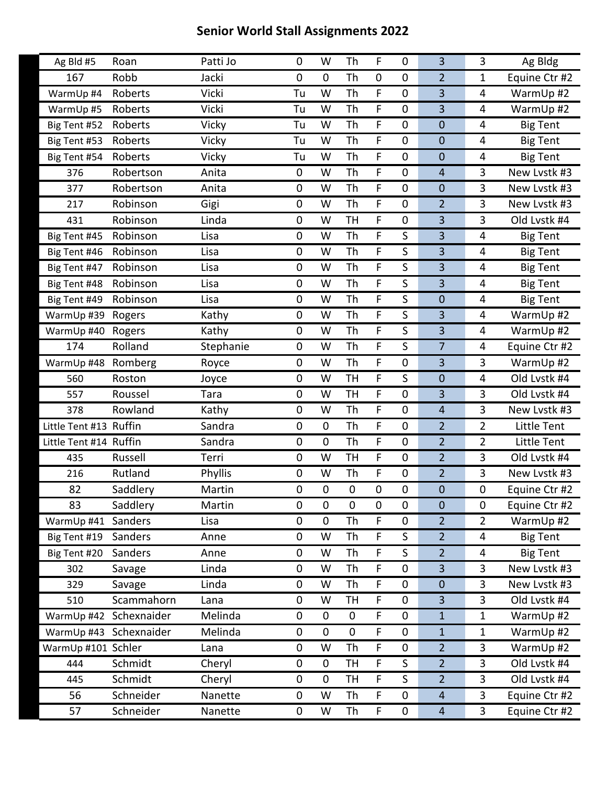| Ag Bld #5              | Roan        | Patti Jo  | 0         | W           | Th               | F           | $\mathbf 0$      | 3                       | 3              | Ag Bldg         |
|------------------------|-------------|-----------|-----------|-------------|------------------|-------------|------------------|-------------------------|----------------|-----------------|
| 167                    | Robb        | Jacki     | 0         | $\mathbf 0$ | Th               | $\pmb{0}$   | 0                | $\overline{2}$          | 1              | Equine Ctr #2   |
| WarmUp #4              | Roberts     | Vicki     | Tu        | W           | Th               | F           | $\mathbf 0$      | 3                       | 4              | WarmUp #2       |
| WarmUp #5              | Roberts     | Vicki     | Tu        | W           | Th               | F           | $\mathbf 0$      | $\overline{3}$          | 4              | WarmUp #2       |
| Big Tent #52           | Roberts     | Vicky     | Tu        | W           | Th               | F           | 0                | $\mathbf 0$             | 4              | <b>Big Tent</b> |
| Big Tent #53           | Roberts     | Vicky     | Tu        | W           | Th               | F           | $\mathbf 0$      | $\boldsymbol{0}$        | 4              | <b>Big Tent</b> |
| Big Tent #54           | Roberts     | Vicky     | Tu        | W           | Th               | F           | $\boldsymbol{0}$ | $\boldsymbol{0}$        | 4              | <b>Big Tent</b> |
| 376                    | Robertson   | Anita     | 0         | W           | Th               | F           | $\mathbf 0$      | $\overline{4}$          | 3              | New Lystk #3    |
| 377                    | Robertson   | Anita     | 0         | W           | Th               | F           | $\mathbf 0$      | $\mathbf 0$             | 3              | New Lvstk #3    |
| 217                    | Robinson    | Gigi      | 0         | W           | Th               | F           | $\boldsymbol{0}$ | $\overline{2}$          | 3              | New Lvstk #3    |
| 431                    | Robinson    | Linda     | 0         | W           | <b>TH</b>        | F           | $\boldsymbol{0}$ | $\overline{\mathbf{3}}$ | 3              | Old Lvstk #4    |
| Big Tent #45           | Robinson    | Lisa      | 0         | W           | Th               | F           | S                | 3                       | 4              | <b>Big Tent</b> |
| Big Tent #46           | Robinson    | Lisa      | 0         | W           | Th               | F           | S                | $\overline{3}$          | 4              | <b>Big Tent</b> |
| Big Tent #47           | Robinson    | Lisa      | 0         | W           | Th               | F           | S                | $\overline{3}$          | 4              | <b>Big Tent</b> |
| Big Tent #48           | Robinson    | Lisa      | 0         | W           | Th               | F           | S                | 3                       | 4              | <b>Big Tent</b> |
| Big Tent #49           | Robinson    | Lisa      | $\pmb{0}$ | W           | Th               | F           | S                | $\mathbf 0$             | 4              | <b>Big Tent</b> |
| WarmUp #39             | Rogers      | Kathy     | 0         | W           | Th               | F           | S                | $\overline{3}$          | 4              | WarmUp #2       |
| WarmUp #40             | Rogers      | Kathy     | 0         | W           | Th               | F           | S                | 3                       | 4              | WarmUp #2       |
| 174                    | Rolland     | Stephanie | 0         | W           | Th               | F           | S                | $\overline{7}$          | 4              | Equine Ctr #2   |
| WarmUp #48             | Romberg     | Royce     | 0         | W           | Th               | F           | $\boldsymbol{0}$ | $\overline{3}$          | 3              | WarmUp #2       |
| 560                    | Roston      | Joyce     | 0         | W           | <b>TH</b>        | F           | S                | $\mathbf 0$             | 4              | Old Lvstk #4    |
| 557                    | Roussel     | Tara      | $\pmb{0}$ | W           | <b>TH</b>        | F           | $\boldsymbol{0}$ | $\overline{3}$          | 3              | Old Lvstk #4    |
| 378                    | Rowland     | Kathy     | $\pmb{0}$ | W           | Th               | F           | $\mathbf 0$      | $\overline{4}$          | 3              | New Lvstk #3    |
| Little Tent #13 Ruffin |             | Sandra    | 0         | $\mathbf 0$ | Th               | F           | $\mathbf 0$      | $\overline{2}$          | $\overline{2}$ | Little Tent     |
| Little Tent #14 Ruffin |             | Sandra    | $\pmb{0}$ | $\pmb{0}$   | Th               | F           | $\boldsymbol{0}$ | $\overline{2}$          | $\overline{2}$ | Little Tent     |
| 435                    | Russell     | Terri     | 0         | W           | <b>TH</b>        | F           | $\mathbf 0$      | $\overline{2}$          | 3              | Old Lvstk #4    |
| 216                    | Rutland     | Phyllis   | 0         | W           | Th               | $\mathsf F$ | $\boldsymbol{0}$ | $\overline{2}$          | $\overline{3}$ | New Lvstk #3    |
| 82                     | Saddlery    | Martin    | 0         | $\pmb{0}$   | $\pmb{0}$        | $\pmb{0}$   | 0                | $\mathbf 0$             | $\pmb{0}$      | Equine Ctr #2   |
| 83                     | Saddlery    | Martin    | 0         | $\mathbf 0$ | $\boldsymbol{0}$ | $\pmb{0}$   | $\mathbf 0$      | $\mathbf 0$             | 0              | Equine Ctr #2   |
| WarmUp #41             | Sanders     | Lisa      | 0         | $\mathbf 0$ | Th               | F           | $\mathbf 0$      | $\overline{2}$          | $\overline{2}$ | WarmUp #2       |
| Big Tent #19           | Sanders     | Anne      | 0         | W           | Th               | F           | S                | $\overline{2}$          | 4              | <b>Big Tent</b> |
| Big Tent #20           | Sanders     | Anne      | 0         | W           | Th               | F           | S                | $\overline{2}$          | 4              | <b>Big Tent</b> |
| 302                    | Savage      | Linda     | 0         | W           | Th               | $\mathsf F$ | $\mathbf 0$      | 3                       | $\overline{3}$ | New Lvstk #3    |
| 329                    | Savage      | Linda     | 0         | W           | Th               | F           | $\mathbf 0$      | $\pmb{0}$               | 3              | New Lvstk #3    |
| 510                    | Scammahorn  | Lana      | 0         | W           | <b>TH</b>        | F           | $\mathbf 0$      | $\overline{3}$          | $\overline{3}$ | Old Lvstk #4    |
| WarmUp #42 Schexnaider |             | Melinda   | 0         | $\mathbf 0$ | $\mathbf 0$      | $\mathsf F$ | $\mathbf 0$      | $1\,$                   | $\mathbf{1}$   | WarmUp #2       |
| WarmUp #43             | Schexnaider | Melinda   | 0         | $\pmb{0}$   | $\boldsymbol{0}$ | F           | $\mathbf 0$      | $\mathbf{1}$            | $\mathbf{1}$   | WarmUp #2       |
| WarmUp #101 Schler     |             | Lana      | 0         | W           | Th               | F           | $\mathbf 0$      | $\overline{2}$          | 3              | WarmUp #2       |
| 444                    | Schmidt     | Cheryl    | 0         | $\mathbf 0$ | <b>TH</b>        | $\mathsf F$ | S                | $\overline{2}$          | $\overline{3}$ | Old Lvstk #4    |
| 445                    | Schmidt     | Cheryl    | 0         | 0           | TH               | F           | S                | $\overline{2}$          | 3              | Old Lvstk #4    |
| 56                     | Schneider   | Nanette   | 0         | W           | Th               | F           | $\mathbf 0$      | $\overline{4}$          | 3              | Equine Ctr #2   |
| 57                     | Schneider   | Nanette   | $\pmb{0}$ | W           | Th               | $\mathsf F$ | $\pmb{0}$        | $\overline{4}$          | $\overline{3}$ | Equine Ctr #2   |
|                        |             |           |           |             |                  |             |                  |                         |                |                 |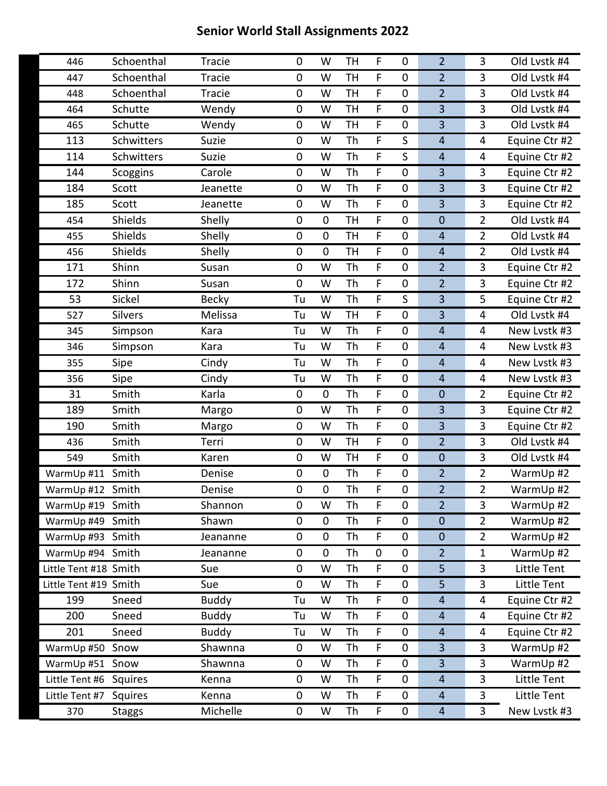| 446                   | Schoenthal     | <b>Tracie</b> | 0           | W           | <b>TH</b> | F                | 0           | $\overline{2}$ | 3                       | Old Lvstk #4  |
|-----------------------|----------------|---------------|-------------|-------------|-----------|------------------|-------------|----------------|-------------------------|---------------|
| 447                   | Schoenthal     | Tracie        | $\mathbf 0$ | W           | <b>TH</b> | F                | $\pmb{0}$   | $\overline{2}$ | 3                       | Old Lvstk #4  |
| 448                   | Schoenthal     | Tracie        | $\mathbf 0$ | W           | <b>TH</b> | F                | $\mathbf 0$ | $\overline{2}$ | 3                       | Old Lvstk #4  |
| 464                   | Schutte        | Wendy         | $\pmb{0}$   | W           | <b>TH</b> | F                | 0           | 3              | 3                       | Old Lvstk #4  |
| 465                   | Schutte        | Wendy         | $\pmb{0}$   | W           | <b>TH</b> | F                | $\mathbf 0$ | 3              | 3                       | Old Lvstk #4  |
| 113                   | Schwitters     | Suzie         | $\mathbf 0$ | W           | <b>Th</b> | F                | S           | $\overline{4}$ | $\overline{\mathbf{4}}$ | Equine Ctr #2 |
| 114                   | Schwitters     |               | $\pmb{0}$   | W           | Th        | F                | S           | $\overline{4}$ |                         |               |
|                       |                | Suzie         |             |             |           |                  |             |                | 4                       | Equine Ctr #2 |
| 144                   | Scoggins       | Carole        | $\pmb{0}$   | W           | Th<br>Th  | F<br>$\mathsf F$ | $\mathbf 0$ | 3              | 3<br>$\overline{3}$     | Equine Ctr #2 |
| 184                   | Scott          | Jeanette      | $\mathbf 0$ | W           |           |                  | $\mathbf 0$ | 3              |                         | Equine Ctr #2 |
| 185                   | Scott          | Jeanette      | $\pmb{0}$   | W           | Th        | F                | 0           | 3              | 3                       | Equine Ctr #2 |
| 454                   | Shields        | Shelly        | $\pmb{0}$   | $\mathbf 0$ | <b>TH</b> | F                | 0           | $\mathbf 0$    | $\overline{2}$          | Old Lvstk #4  |
| 455                   | Shields        | Shelly        | $\mathbf 0$ | $\mathbf 0$ | <b>TH</b> | F                | $\mathbf 0$ | $\overline{4}$ | $\overline{2}$          | Old Lvstk #4  |
| 456                   | Shields        | Shelly        | $\pmb{0}$   | $\mathbf 0$ | <b>TH</b> | F                | $\mathbf 0$ | $\overline{4}$ | $\overline{2}$          | Old Lvstk #4  |
| 171                   | Shinn          | Susan         | $\pmb{0}$   | W           | Th        | F                | 0           | $\overline{2}$ | 3                       | Equine Ctr #2 |
| 172                   | Shinn          | Susan         | $\mathbf 0$ | W           | Th        | F                | $\mathbf 0$ | $\overline{2}$ | 3                       | Equine Ctr #2 |
| 53                    | Sickel         | <b>Becky</b>  | Tu          | W           | Th        | F                | S           | 3              | 5                       | Equine Ctr #2 |
| 527                   | <b>Silvers</b> | Melissa       | Tu          | W           | <b>TH</b> | F                | $\mathbf 0$ | 3              | 4                       | Old Lvstk #4  |
| 345                   | Simpson        | Kara          | Tu          | W           | Th        | F                | $\mathbf 0$ | $\overline{4}$ | 4                       | New Lystk #3  |
| 346                   | Simpson        | Kara          | Tu          | W           | Th        | F                | $\mathbf 0$ | $\overline{4}$ | 4                       | New Lystk #3  |
| 355                   | Sipe           | Cindy         | Tu          | W           | <b>Th</b> | F                | $\mathbf 0$ | $\overline{4}$ | 4                       | New Lystk #3  |
| 356                   | Sipe           | Cindy         | Tu          | W           | Th        | F                | $\mathbf 0$ | $\overline{4}$ | 4                       | New Lvstk #3  |
| 31                    | Smith          | Karla         | $\pmb{0}$   | $\mathbf 0$ | Th        | F                | $\mathbf 0$ | $\mathbf 0$    | $\overline{2}$          | Equine Ctr #2 |
| 189                   | Smith          | Margo         | $\mathbf 0$ | W           | <b>Th</b> | F                | $\mathbf 0$ | 3              | 3                       | Equine Ctr #2 |
| 190                   | Smith          | Margo         | $\mathbf 0$ | W           | Th        | F                | $\mathbf 0$ | 3              | 3                       | Equine Ctr #2 |
| 436                   | Smith          | Terri         | $\mathbf 0$ | W           | <b>TH</b> | F                | $\pmb{0}$   | $\overline{2}$ | 3                       | Old Lvstk #4  |
| 549                   | Smith          | Karen         | $\pmb{0}$   | W           | <b>TH</b> | F                | $\mathbf 0$ | $\mathbf 0$    | 3                       | Old Lvstk #4  |
| WarmUp #11            | Smith          | Denise        | $\mathbf 0$ | $\mathbf 0$ | Th        | F                | $\mathbf 0$ | $\overline{2}$ | $\overline{2}$          | WarmUp #2     |
| WarmUp #12 Smith      |                | Denise        | $\pmb{0}$   | $\mathbf 0$ | Th        | F                | $\pmb{0}$   | $\overline{2}$ | $\overline{2}$          | WarmUp #2     |
| WarmUp #19 Smith      |                | Shannon       | 0           | W           | Th        | F                | $\pmb{0}$   | $\overline{2}$ | 3                       | WarmUp #2     |
| WarmUp #49 Smith      |                | Shawn         | $\mathbf 0$ | $\mathbf 0$ | Th        | F.               | 0           | $\mathbf 0$    | $\overline{2}$          | WarmUp #2     |
| WarmUp #93 Smith      |                | Jeananne      | $\pmb{0}$   | $\mathbf 0$ | Th        | F                | $\pmb{0}$   | $\mathbf{0}$   | $\overline{2}$          | WarmUp #2     |
| WarmUp #94 Smith      |                | Jeananne      | $\pmb{0}$   | $\mathbf 0$ | Th        | $\pmb{0}$        | 0           | $\overline{2}$ | $\mathbf{1}$            | WarmUp #2     |
| Little Tent #18 Smith |                | Sue           | $\pmb{0}$   | W           | Th        | F                | $\pmb{0}$   | 5              | 3                       | Little Tent   |
| Little Tent #19 Smith |                | Sue           | $\pmb{0}$   | W           | Th        | F                | $\pmb{0}$   | 5              | 3                       | Little Tent   |
| 199                   | Sneed          | <b>Buddy</b>  | Tu          | W           | Th        | F                | 0           | $\overline{4}$ | 4                       | Equine Ctr #2 |
| 200                   | Sneed          | <b>Buddy</b>  | Tu          | W           | Th        | F                | $\pmb{0}$   | $\overline{4}$ | 4                       | Equine Ctr #2 |
| 201                   | Sneed          | <b>Buddy</b>  | Tu          | W           | Th        | F                | $\pmb{0}$   | $\overline{4}$ | 4                       | Equine Ctr #2 |
| WarmUp #50 Snow       |                | Shawnna       | $\pmb{0}$   | W           | Th        | F                | $\mathbf 0$ | 3              | 3                       | WarmUp #2     |
| WarmUp #51 Snow       |                | Shawnna       | $\pmb{0}$   | W           | Th        | F                | $\pmb{0}$   | 3              | 3                       | WarmUp #2     |
| Little Tent #6        | Squires        | Kenna         | $\pmb{0}$   | W           | Th        | F                | $\pmb{0}$   | $\overline{4}$ | 3                       | Little Tent   |
| Little Tent #7        | Squires        | Kenna         | $\mathbf 0$ | W           | Th        | F                | $\mathbf 0$ | $\overline{4}$ | 3                       | Little Tent   |
| 370                   | <b>Staggs</b>  | Michelle      | $\pmb{0}$   | W           | Th        | F                | 0           | $\overline{a}$ | 3                       | New Lvstk #3  |
|                       |                |               |             |             |           |                  |             |                |                         |               |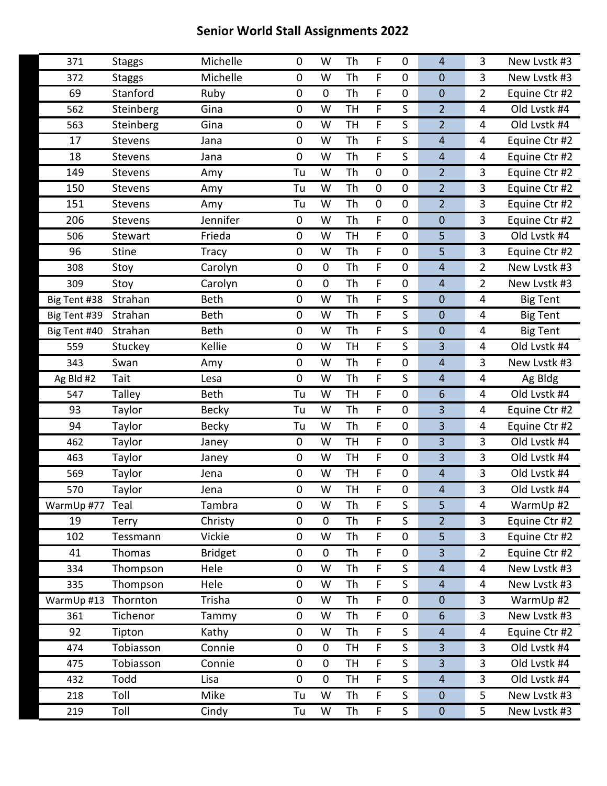| 371             | <b>Staggs</b>  | Michelle            | 0         | W           | Th        | F           | $\mathbf 0$      | $\overline{4}$          | 3              | New Lystk #3    |
|-----------------|----------------|---------------------|-----------|-------------|-----------|-------------|------------------|-------------------------|----------------|-----------------|
| 372             | <b>Staggs</b>  | Michelle            | 0         | W           | Th        | F           | $\mathbf 0$      | $\mathbf 0$             | 3              | New Lvstk #3    |
| 69              | Stanford       | Ruby                | 0         | $\mathbf 0$ | Th        | F           | $\mathbf 0$      | $\mathbf 0$             | $\overline{2}$ | Equine Ctr #2   |
| 562             | Steinberg      | Gina                | 0         | W           | <b>TH</b> | F           | S                | $\overline{2}$          | 4              | Old Lvstk #4    |
| 563             | Steinberg      | Gina                | 0         | W           | <b>TH</b> | F           | S                | $\overline{2}$          | 4              | Old Lystk #4    |
| 17              | Stevens        | Jana                | 0         | W           | Th        | F           | S                | $\overline{4}$          | 4              | Equine Ctr #2   |
| 18              | <b>Stevens</b> | Jana                | 0         | W           | Th        | F           | S                | $\overline{4}$          | 4              | Equine Ctr #2   |
| 149             | Stevens        | Amy                 | Tu        | W           | Th        | $\pmb{0}$   | $\mathbf 0$      | $\overline{2}$          | 3              | Equine Ctr #2   |
| 150             | <b>Stevens</b> | Amy                 | Tu        | W           | Th        | $\pmb{0}$   | $\mathbf 0$      | $\overline{2}$          | $\overline{3}$ | Equine Ctr #2   |
| 151             | Stevens        | Amy                 | Tu        | W           | Th        | $\mathbf 0$ | $\mathbf 0$      | $\overline{2}$          | 3              | Equine Ctr #2   |
| 206             | Stevens        | Jennifer            | $\pmb{0}$ | W           | Th        | F           | $\mathbf 0$      | $\mathbf 0$             | 3              | Equine Ctr #2   |
| 506             | Stewart        | Frieda              | 0         | W           | <b>TH</b> | F.          | $\mathbf 0$      | 5                       | $\overline{3}$ | Old Lvstk #4    |
| 96              | <b>Stine</b>   | <b>Tracy</b>        | 0         | W           | Th        | F           | $\mathbf 0$      | 5                       | 3              | Equine Ctr #2   |
| 308             | Stoy           | Carolyn             | $\pmb{0}$ | $\mathbf 0$ | Th        | F           | $\mathbf 0$      | $\overline{4}$          | $\overline{2}$ | New Lvstk #3    |
| 309             | Stoy           | Carolyn             | 0         | $\mathbf 0$ | Th        | F.          | $\mathbf 0$      | $\overline{4}$          | $\overline{2}$ | New Lvstk #3    |
| Big Tent #38    | Strahan        | <b>Beth</b>         | 0         | W           | Th        | F           | S                | $\mathbf 0$             | 4              | <b>Big Tent</b> |
| Big Tent #39    | Strahan        | <b>Beth</b>         | $\pmb{0}$ | W           | <b>Th</b> | F           | S                | $\mathbf 0$             | 4              | <b>Big Tent</b> |
| Big Tent #40    | Strahan        | <b>Beth</b>         | 0         | W           | Th        | F.          | $\mathsf S$      | $\mathbf 0$             | 4              | <b>Big Tent</b> |
| 559             | Stuckey        | Kellie              | 0         | W           | <b>TH</b> | F           | S                | 3                       | 4              | Old Lvstk #4    |
| 343             | Swan           | Amy                 | $\pmb{0}$ | W           | Th        | F           | $\mathbf 0$      | $\overline{4}$          | 3              | New Lvstk #3    |
| Ag Bld #2       | Tait           | Lesa                | 0         | W           | Th        | F.          | S                | $\overline{4}$          | 4              | Ag Bldg         |
| 547             | Talley         | <b>Beth</b>         | Tu        | W           | <b>TH</b> | F           | $\boldsymbol{0}$ | $6\phantom{1}6$         | 4              | Old Lvstk #4    |
| 93              | Taylor         | <b>Becky</b>        | Tu        | W           | Th        | F           | $\mathbf 0$      | 3                       | 4              | Equine Ctr #2   |
| 94              | Taylor         | <b>Becky</b>        | Tu        | W           | Th        | F           | $\boldsymbol{0}$ | 3                       | 4              | Equine Ctr #2   |
| 462             | Taylor         | Janey               | $\pmb{0}$ | W           | <b>TH</b> | F           | $\boldsymbol{0}$ | 3                       | 3              | Old Lvstk #4    |
| 463             | Taylor         | Janey               | 0         | W           | <b>TH</b> | F           | $\mathbf 0$      | 3                       | 3              | Old Lvstk #4    |
| 569             | Taylor         | Jena                | 0         | W           | <b>TH</b> | F           | $\pmb{0}$        | $\overline{4}$          | 3              | Old Lvstk #4    |
| 570             | Taylor         | Jena                | 0         | W           | <b>TH</b> | F           | $\boldsymbol{0}$ | $\overline{\mathbf{r}}$ | 3              | Old Lvstk #4    |
| WarmUp #77 Teal |                | Tambra              | 0         | W           | Th        | F           | S                | 5                       | 4              | WarmUp #2       |
| 19              | Terry          | Christy             | 0         | $\mathbf 0$ | Th        | F           | S                | $\overline{2}$          | 3              | Equine Ctr #2   |
| 102             | Tessmann       | Vickie              | 0         | W           | Th        | F           | $\boldsymbol{0}$ | 5                       | 3              | Equine Ctr #2   |
| 41              | Thomas         | <b>Bridget</b>      | 0         | $\mathbf 0$ | Th        | F           | $\pmb{0}$        | $\overline{3}$          | $\overline{2}$ | Equine Ctr #2   |
| 334             | Thompson       | Hele                | 0         | W           | Th        | F           | S                | $\overline{4}$          | 4              | New Lvstk #3    |
| 335             | Thompson       | Hele                | 0         | W           | Th        | F           | S                | $\overline{4}$          | 4              | New Lvstk #3    |
| WarmUp #13      | Thornton       | Trisha              | 0         | W           | Th        | F           | $\pmb{0}$        | $\mathbf 0$             | $\overline{3}$ | WarmUp #2       |
| 361             | Tichenor       | Tammy               | 0         | W           | Th        | F           | $\mathbf 0$      | $6\phantom{1}6$         | 3              | New Lvstk #3    |
| 92              | Tipton         | $\overline{k}$ athy | 0         | W           | Th        | F           | $\mathsf S$      | $\overline{4}$          | 4              | Equine Ctr #2   |
| 474             | Tobiasson      | Connie              | 0         | $\mathbf 0$ | <b>TH</b> | F           | S                | $\overline{3}$          | 3              | Old Lvstk #4    |
| 475             | Tobiasson      | Connie              | 0         | $\pmb{0}$   | TH        | F           | $\mathsf S$      | 3                       | 3              | Old Lvstk #4    |
| 432             | Todd           | Lisa                | 0         | $\mathbf 0$ | TH        | F           | S                | $\overline{4}$          | 3              | Old Lvstk #4    |
| 218             | Toll           | Mike                | Tu        | W           | Th        | F           | S                | $\mathbf 0$             | 5              | New Lvstk #3    |
| 219             | Toll           | Cindy               | Tu        | W           | Th        | F           | $\mathsf S$      | $\pmb{0}$               | 5              | New Lvstk #3    |
|                 |                |                     |           |             |           |             |                  |                         |                |                 |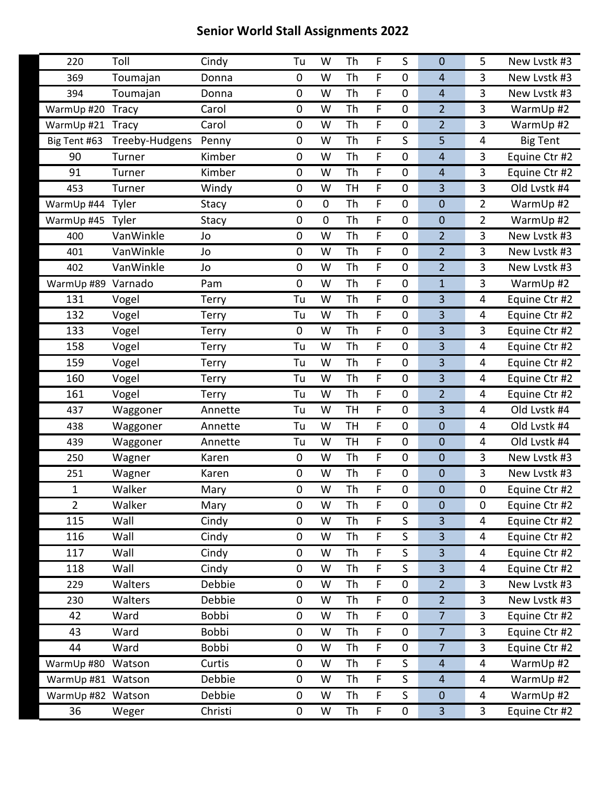| 220                | Toll           | Cindy        | Tu          | W           | Th        | F           | S                | $\mathbf 0$             | 5              | New Lvstk #3    |
|--------------------|----------------|--------------|-------------|-------------|-----------|-------------|------------------|-------------------------|----------------|-----------------|
| 369                | Toumajan       | Donna        | 0           | W           | Th        | F           | $\mathbf 0$      | $\overline{4}$          | 3              | New Lystk #3    |
| 394                | Toumajan       | Donna        | 0           | W           | Th        | F           | $\mathbf 0$      | $\overline{4}$          | $\overline{3}$ | New Lvstk #3    |
| WarmUp #20         | <b>Tracy</b>   | Carol        | 0           | W           | Th        | F           | $\boldsymbol{0}$ | $\overline{2}$          | 3              | WarmUp #2       |
| WarmUp #21         | <b>Tracy</b>   | Carol        | 0           | W           | Th        | F           | $\mathbf 0$      | $\overline{2}$          | 3              | WarmUp #2       |
| Big Tent #63       | Treeby-Hudgens | Penny        | 0           | W           | Th        | F           | S                | 5                       | 4              | <b>Big Tent</b> |
| 90                 | Turner         | Kimber       | 0           | W           | Th        | F           | 0                | $\overline{4}$          | 3              | Equine Ctr #2   |
| 91                 | Turner         | Kimber       | 0           | W           | Th        | F           | $\mathbf 0$      | $\overline{4}$          | 3              | Equine Ctr #2   |
| 453                | Turner         | Windy        | 0           | W           | <b>TH</b> | $\mathsf F$ | $\mathbf 0$      | $\overline{3}$          | $\overline{3}$ | Old Lvstk #4    |
| WarmUp #44         | Tyler          | Stacy        | 0           | $\pmb{0}$   | Th        | F           | $\mathbf 0$      | $\boldsymbol{0}$        | $\overline{2}$ | WarmUp #2       |
| WarmUp #45         | Tyler          | Stacy        | 0           | $\mathbf 0$ | Th        | F           | $\mathbf 0$      | $\boldsymbol{0}$        | $\overline{2}$ | WarmUp #2       |
| 400                | VanWinkle      | Jo           | 0           | W           | Th        | F           | $\mathbf 0$      | $\overline{2}$          | $\overline{3}$ | New Lvstk #3    |
| 401                | VanWinkle      | Jo           | 0           | W           | Th        | F           | 0                | $\overline{2}$          | 3              | New Lvstk #3    |
| 402                | VanWinkle      | Jo           | 0           | W           | Th        | F           | $\mathbf 0$      | $\overline{2}$          | 3              | New Lvstk #3    |
| WarmUp #89 Varnado |                | Pam          | 0           | W           | Th        | F           | $\mathbf 0$      | $\mathbf{1}$            | 3              | WarmUp #2       |
| 131                | Vogel          | Terry        | Tu          | W           | Th        | F           | 0                | $\overline{3}$          | 4              | Equine Ctr #2   |
| 132                | Vogel          | <b>Terry</b> | Tu          | W           | Th        | F           | $\mathbf 0$      | $\overline{\mathbf{3}}$ | 4              | Equine Ctr #2   |
| 133                | Vogel          | <b>Terry</b> | $\mathbf 0$ | W           | Th        | F           | $\mathbf 0$      | 3                       | $\overline{3}$ | Equine Ctr #2   |
| 158                | Vogel          | Terry        | Tu          | W           | Th        | F           | $\mathbf 0$      | $\overline{3}$          | 4              | Equine Ctr #2   |
| 159                | Vogel          | <b>Terry</b> | Tu          | W           | Th        | F           | $\mathbf 0$      | $\overline{3}$          | 4              | Equine Ctr #2   |
| 160                | Vogel          | <b>Terry</b> | Tu          | W           | Th        | F           | $\mathbf 0$      | 3                       | $\overline{4}$ | Equine Ctr #2   |
| 161                | Vogel          | Terry        | Tu          | W           | Th        | F           | $\mathbf 0$      | $\overline{2}$          | 4              | Equine Ctr #2   |
| 437                | Waggoner       | Annette      | Tu          | W           | <b>TH</b> | F           | $\mathbf 0$      | 3                       | 4              | Old Lvstk #4    |
| 438                | Waggoner       | Annette      | Tu          | W           | <b>TH</b> | F           | $\mathbf 0$      | $\mathbf 0$             | 4              | Old Lvstk #4    |
| 439                | Waggoner       | Annette      | Tu          | W           | <b>TH</b> | F           | $\mathbf 0$      | $\boldsymbol{0}$        | 4              | Old Lvstk #4    |
| 250                | Wagner         | Karen        | 0           | W           | Th        | F           | $\mathbf 0$      | $\mathbf 0$             | 3              | New Lvstk #3    |
| 251                | Wagner         | Karen        | $\mathbf 0$ | W           | Th        | F           | $\mathbf 0$      | $\boldsymbol{0}$        | $\overline{3}$ | New Lvstk #3    |
| 1                  | Walker         | Mary         | 0           | W           | Th        | F           | $\mathbf 0$      | $\mathbf 0$             | $\pmb{0}$      | Equine Ctr #2   |
| $\overline{2}$     | Walker         | Mary         | 0           | W           | Th        | F           | $\mathbf 0$      | $\pmb{0}$               | $\pmb{0}$      | Equine Ctr #2   |
| 115                | Wall           | Cindy        | 0           | W           | Th        | F           | S                | 3                       | 4              | Equine Ctr #2   |
| 116                | Wall           | Cindy        | 0           | W           | Th        | F           | S                | $\overline{3}$          | 4              | Equine Ctr #2   |
| 117                | Wall           | Cindy        | 0           | W           | Th        | F           | S                | $\overline{3}$          | 4              | Equine Ctr #2   |
| 118                | Wall           | Cindy        | 0           | W           | Th        | F           | S                | $\overline{3}$          | 4              | Equine Ctr #2   |
| 229                | Walters        | Debbie       | $\pmb{0}$   | W           | Th        | F           | $\pmb{0}$        | $\overline{2}$          | 3              | New Lvstk #3    |
| 230                | Walters        | Debbie       | 0           | W           | Th        | F           | $\boldsymbol{0}$ | $\overline{2}$          | $\overline{3}$ | New Lvstk #3    |
| 42                 | Ward           | Bobbi        | 0           | W           | Th        | F           | $\boldsymbol{0}$ | $\overline{7}$          | 3              | Equine Ctr #2   |
| 43                 | Ward           | Bobbi        | 0           | W           | Th        | F           | $\boldsymbol{0}$ | $\overline{7}$          | $\overline{3}$ | Equine Ctr #2   |
| 44                 | Ward           | Bobbi        | 0           | W           | Th        | F           | $\boldsymbol{0}$ | $\overline{7}$          | $\mathbf{3}$   | Equine Ctr #2   |
| WarmUp #80         | Watson         | Curtis       | $\pmb{0}$   | W           | Th        | F           | S                | $\overline{4}$          | 4              | WarmUp #2       |
| WarmUp #81 Watson  |                | Debbie       | 0           | W           | Th        | F           | S                | $\overline{4}$          | 4              | WarmUp #2       |
| WarmUp #82 Watson  |                | Debbie       | 0           | W           | Th        | F           | S                | $\boldsymbol{0}$        | 4              | WarmUp #2       |
| 36                 | Weger          | Christi      | 0           | W           | Th        | F           | $\pmb{0}$        | $\overline{3}$          | $\overline{3}$ | Equine Ctr #2   |
|                    |                |              |             |             |           |             |                  |                         |                |                 |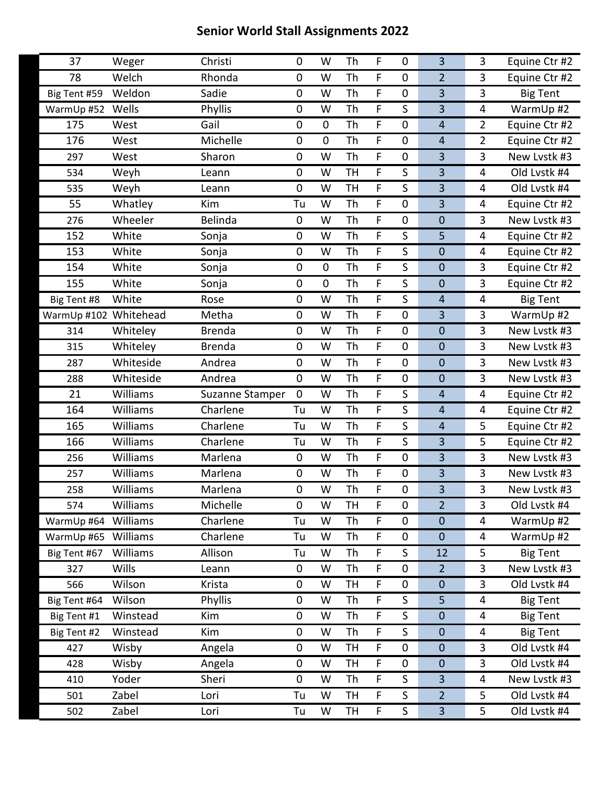| 37                    | Weger        | Christi         | 0              | W              | Th        | F  | 0           | 3                       | 3              | Equine Ctr #2   |
|-----------------------|--------------|-----------------|----------------|----------------|-----------|----|-------------|-------------------------|----------------|-----------------|
| 78                    | Welch        | Rhonda          | $\mathbf 0$    | W              | Th        | F  | $\mathbf 0$ | $\overline{2}$          | 3              | Equine Ctr #2   |
| Big Tent #59          | Weldon       | Sadie           | $\mathbf 0$    | W              | Th        | F  | $\mathbf 0$ | 3                       | 3              | <b>Big Tent</b> |
| WarmUp #52            | Wells        | Phyllis         | $\pmb{0}$      | W              | Th        | F  | S           | 3                       | 4              | WarmUp #2       |
| 175                   | West         | Gail            | $\pmb{0}$      | $\mathbf 0$    | Th        | F  | $\pmb{0}$   | $\overline{4}$          | $\overline{2}$ | Equine Ctr #2   |
| 176                   | West         | Michelle        | $\mathbf 0$    | $\overline{0}$ | Th        | F  | $\mathbf 0$ | $\overline{4}$          | $\overline{2}$ | Equine Ctr #2   |
| 297                   | West         | Sharon          | $\mathbf 0$    | W              | Th        | F  | 0           | 3                       | 3              | New Lvstk #3    |
| 534                   | Weyh         | Leann           | $\pmb{0}$      | W              | <b>TH</b> | F  | S           | 3                       | 4              | Old Lvstk #4    |
| 535                   | Weyh         | Leann           | $\overline{0}$ | W              | <b>TH</b> | F  | S           | 3                       | $\overline{4}$ | Old Lvstk #4    |
| 55                    | Whatley      | Kim             | Tu             | W              | Th        | F  | 0           | 3                       | 4              | Equine Ctr #2   |
| 276                   | Wheeler      | Belinda         | $\pmb{0}$      | W              | Th        | F  | $\mathbf 0$ | $\mathbf 0$             | 3              | New Lvstk #3    |
| 152                   | White        | Sonja           | $\mathbf 0$    | W              | Th        | F  | S           | 5                       | $\overline{4}$ | Equine Ctr #2   |
| 153                   | White        | Sonja           | $\pmb{0}$      | W              | Th        | F  | S           | $\mathbf 0$             | 4              | Equine Ctr #2   |
| 154                   | White        | Sonja           | $\pmb{0}$      | $\mathbf 0$    | Th        | F  | $\mathsf S$ | $\mathbf 0$             | 3              | Equine Ctr #2   |
| 155                   | White        | Sonja           | $\mathbf 0$    | $\mathbf 0$    | Th        | F  | S           | $\mathbf 0$             | 3              | Equine Ctr #2   |
| Big Tent #8           | White        | Rose            | 0              | W              | Th        | F  | S           | $\overline{\mathbf{4}}$ | 4              | <b>Big Tent</b> |
| WarmUp #102 Whitehead |              | Metha           | $\pmb{0}$      | W              | Th        | F  | $\mathbf 0$ | $\overline{3}$          | 3              | WarmUp #2       |
| 314                   | Whiteley     | <b>Brenda</b>   | $\mathbf 0$    | W              | Th        | F. | $\mathbf 0$ | $\mathbf 0$             | 3              | New Lvstk #3    |
| 315                   | Whiteley     | <b>Brenda</b>   | $\mathbf 0$    | W              | Th        | F  | $\mathbf 0$ | $\mathbf 0$             | 3              | New Lvstk #3    |
| 287                   | Whiteside    | Andrea          | $\mathbf 0$    | W              | Th        | F  | $\mathbf 0$ | $\mathbf 0$             | 3              | New Lvstk #3    |
| 288                   | Whiteside    | Andrea          | $\mathbf 0$    | W              | Th        | F. | 0           | $\mathbf 0$             | 3              | New Lvstk #3    |
| 21                    | Williams     | Suzanne Stamper | 0              | W              | Th        | F  | S           | $\overline{\mathbf{4}}$ | 4              | Equine Ctr #2   |
| 164                   | Williams     | Charlene        | Tu             | W              | Th        | F  | $\mathsf S$ | $\overline{4}$          | 4              | Equine Ctr #2   |
| 165                   | Williams     | Charlene        | Tu             | W              | Th        | F. | S           | $\overline{4}$          | 5              | Equine Ctr #2   |
| 166                   | Williams     | Charlene        | Tu             | W              | Th        | F  | S           | 3                       | 5              | Equine Ctr #2   |
| 256                   | Williams     | Marlena         | $\pmb{0}$      | W              | <b>Th</b> | F  | $\mathbf 0$ | 3                       | 3              | New Lvstk #3    |
| 257                   | Williams     | Marlena         | $\mathbf 0$    | W              | Th        | F. | $\mathbf 0$ | 3                       | 3              | New Lystk #3    |
| 258                   | Williams     | Marlena         | $\mathbf 0$    | W              | Th        | F  | 0           | $\overline{\mathbf{3}}$ | 3              | New Lvstk #3    |
| 574                   | Williams     | Michelle        | 0              | W              | <b>TH</b> | F  | $\pmb{0}$   | $\overline{2}$          | 3              | Old Lvstk #4    |
| WarmUp #64            | Williams     | Charlene        | Tu             | W              | Th        | F. | 0           | $\mathbf 0$             | 4              | WarmUp #2       |
| WarmUp #65            | Williams     | Charlene        | Tu             | W              | Th        | F  | $\pmb{0}$   | $\mathbf 0$             | $\overline{4}$ | WarmUp #2       |
| Big Tent #67          | Williams     | Allison         | Tu             | W              | Th        | F  | S           | 12                      | 5              | <b>Big Tent</b> |
| 327                   | <b>Wills</b> | Leann           | $\pmb{0}$      | W              | Th        | F  | $\pmb{0}$   | $\overline{2}$          | 3              | New Lvstk #3    |
| 566                   | Wilson       | Krista          | $\pmb{0}$      | W              | <b>TH</b> | F  | $\pmb{0}$   | $\mathbf 0$             | 3              | Old Lvstk #4    |
| Big Tent #64          | Wilson       | Phyllis         | $\pmb{0}$      | W              | Th        | F  | S           | 5                       | 4              | <b>Big Tent</b> |
| Big Tent #1           | Winstead     | Kim             | $\pmb{0}$      | W              | Th        | F. | S           | $\mathbf 0$             | 4              | <b>Big Tent</b> |
| Big Tent #2           | Winstead     | Kim             | $\pmb{0}$      | W              | Th        | F  | S           | $\mathbf 0$             | $\overline{4}$ | <b>Big Tent</b> |
| 427                   | Wisby        | Angela          | $\pmb{0}$      | W              | <b>TH</b> | F  | 0           | $\mathbf 0$             | 3              | Old Lvstk #4    |
| 428                   | Wisby        | Angela          | $\pmb{0}$      | W              | <b>TH</b> | F  | 0           | $\mathbf 0$             | 3              | Old Lvstk #4    |
| 410                   | Yoder        | Sheri           | $\mathbf 0$    | W              | Th        | F  | S           | 3                       | 4              | New Lvstk #3    |
| 501                   | Zabel        | Lori            | Tu             | W              | <b>TH</b> | F  | S           | $\overline{2}$          | 5              | Old Lvstk #4    |
| 502                   | Zabel        | Lori            | Tu             | W              | <b>TH</b> | F  | S           | $\overline{3}$          | 5              | Old Lvstk #4    |
|                       |              |                 |                |                |           |    |             |                         |                |                 |